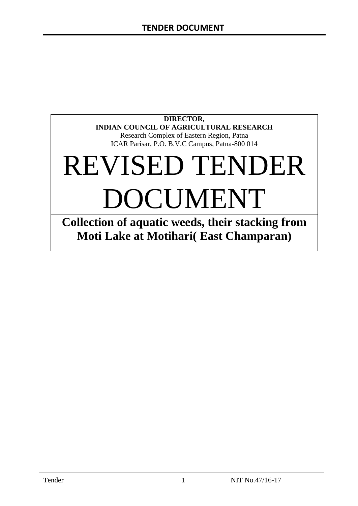# **DIRECTOR, INDIAN COUNCIL OF AGRICULTURAL RESEARCH** Research Complex of Eastern Region, Patna

ICAR Parisar, P.O. B.V.C Campus, Patna-800 014

# REVISED TENDER DOCUMENT

**Collection of aquatic weeds, their stacking from Moti Lake at Motihari( East Champaran)**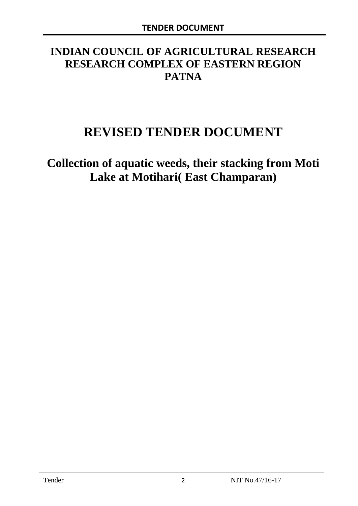# **INDIAN COUNCIL OF AGRICULTURAL RESEARCH RESEARCH COMPLEX OF EASTERN REGION PATNA**

# **REVISED TENDER DOCUMENT**

**Collection of aquatic weeds, their stacking from Moti Lake at Motihari( East Champaran)**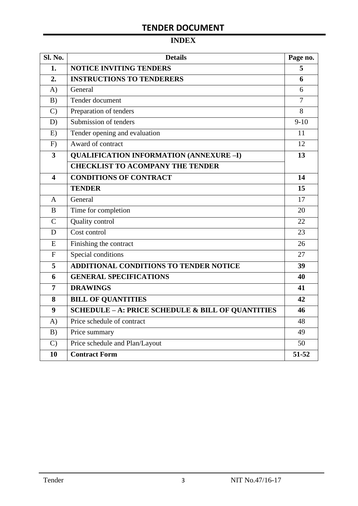# **INDEX**

| <b>Sl. No.</b> | <b>Details</b>                                    |                |  |  |
|----------------|---------------------------------------------------|----------------|--|--|
| 1.             | <b>NOTICE INVITING TENDERS</b>                    |                |  |  |
| 2.             | <b>INSTRUCTIONS TO TENDERERS</b>                  | 6              |  |  |
| A)             | General                                           | 6              |  |  |
| B)             | Tender document                                   | $\overline{7}$ |  |  |
| $\mathcal{C}$  | Preparation of tenders                            | 8              |  |  |
| D)             | Submission of tenders                             | $9-10$         |  |  |
| E)             | Tender opening and evaluation                     | 11             |  |  |
| F)             | Award of contract                                 | 12             |  |  |
| 3              | <b>QUALIFICATION INFORMATION (ANNEXURE-I)</b>     | 13             |  |  |
|                | <b>CHECKLIST TO ACOMPANY THE TENDER</b>           |                |  |  |
| 4              | <b>CONDITIONS OF CONTRACT</b>                     | 14             |  |  |
|                | <b>TENDER</b>                                     | 15             |  |  |
| A              | General                                           | 17             |  |  |
| B              | Time for completion                               | 20             |  |  |
| $\overline{C}$ | Quality control                                   | 22             |  |  |
| D              | Cost control                                      | 23             |  |  |
| E              | Finishing the contract                            | 26             |  |  |
| $\overline{F}$ | Special conditions                                | 27             |  |  |
| 5              | ADDITIONAL CONDITIONS TO TENDER NOTICE            | 39             |  |  |
| 6              | <b>GENERAL SPECIFICATIONS</b>                     | 40             |  |  |
| $\overline{7}$ | <b>DRAWINGS</b>                                   | 41             |  |  |
| 8              | <b>BILL OF QUANTITIES</b>                         | 42             |  |  |
| 9              | SCHEDULE - A: PRICE SCHEDULE & BILL OF QUANTITIES | 46             |  |  |
| A)             | Price schedule of contract                        | 48             |  |  |
| B)             | Price summary                                     | 49             |  |  |
| $\mathcal{C}$  | Price schedule and Plan/Layout                    | 50             |  |  |
| 10             | <b>Contract Form</b>                              | 51-52          |  |  |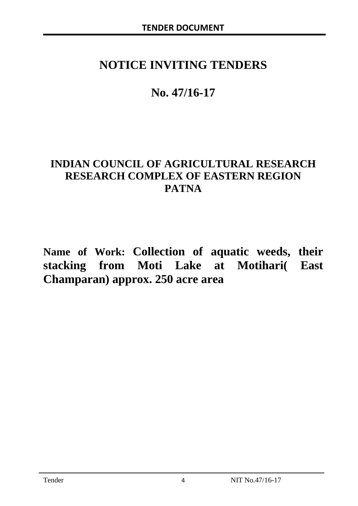# **NOTICE INVITING TENDERS**

# **No. 47/16-17**

# **INDIAN COUNCIL OF AGRICULTURAL RESEARCH RESEARCH COMPLEX OF EASTERN REGION PATNA**

**Name of Work: Collection of aquatic weeds, their stacking from Moti Lake at Motihari( East Champaran) approx. 250 acre area**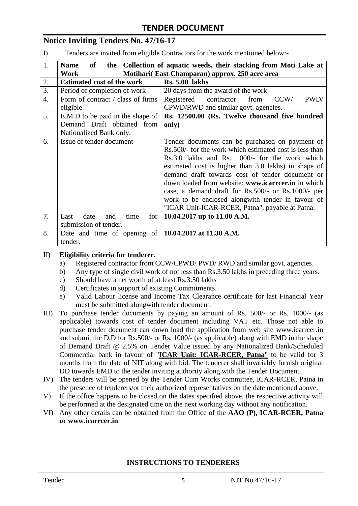# **Notice Inviting Tenders No. 47/16-17**

I) Tenders are invited from eligible Contractors for the work mentioned below:-

| 1.               | <b>of</b><br><b>Name</b>                                     | the   Collection of aquatic weeds, their stacking from Moti Lake at |  |  |  |  |
|------------------|--------------------------------------------------------------|---------------------------------------------------------------------|--|--|--|--|
|                  | Motihari (East Champaran) approx. 250 acre area<br>Work      |                                                                     |  |  |  |  |
| 2.               | <b>Estimated cost of the work</b>                            | <b>Rs. 5.00 lakhs</b>                                               |  |  |  |  |
| 3.               | Period of completion of work                                 | 20 days from the award of the work                                  |  |  |  |  |
| $\overline{4}$ . | Form of contract / class of firms                            | contractor<br>CCW/<br>Registered<br>PWD/<br>from                    |  |  |  |  |
|                  | eligible.                                                    | CPWD/RWD and similar govt. agencies.                                |  |  |  |  |
| 5.               | E.M.D to be paid in the shape of                             | Rs. 12500.00 (Rs. Twelve thousand five hundred                      |  |  |  |  |
|                  | Demand Draft obtained from                                   | only)                                                               |  |  |  |  |
|                  | Nationalized Bank only.                                      |                                                                     |  |  |  |  |
| 6.               | Issue of tender document                                     | Tender documents can be purchased on payment of                     |  |  |  |  |
|                  |                                                              | Rs.500/- for the work which estimated cost is less than             |  |  |  |  |
|                  |                                                              | Rs.3.0 lakhs and Rs. 1000/- for the work which                      |  |  |  |  |
|                  |                                                              | estimated cost is higher than 3.0 lakhs) in shape of                |  |  |  |  |
|                  |                                                              | demand draft towards cost of tender document or                     |  |  |  |  |
|                  |                                                              | down loaded from website: www.icarreer.in in which                  |  |  |  |  |
|                  |                                                              | case, a demand draft for Rs.500/- or Rs.1000/- per                  |  |  |  |  |
|                  |                                                              | work to be enclosed alongwith tender in favour of                   |  |  |  |  |
|                  |                                                              | "ICAR Unit-ICAR-RCER, Patna", payable at Patna.                     |  |  |  |  |
| 7.               | date<br>for<br>Last<br>and<br>time                           | 10.04.2017 up to 11.00 A.M.                                         |  |  |  |  |
|                  | submission of tender.                                        |                                                                     |  |  |  |  |
| 8.               | Date and time of opening of $\vert$ 10.04.2017 at 11.30 A.M. |                                                                     |  |  |  |  |
|                  | tender.                                                      |                                                                     |  |  |  |  |

#### II) **Eligibility criteria for tenderer.**

- a) Registered contractor from CCW/CPWD/ PWD/ RWD and similar govt. agencies.
- b) Any type of single civil work of not less than Rs.3.50 lakhs in preceding three years.
- c) Should have a net worth of at least Rs.3.50 lakhs
- d) Certificates in support of existing Commitments.
- e) Valid Labour license and Income Tax Clearance certificate for last Financial Year must be submitted alongwith tender document.
- III) To purchase tender documents by paying an amount of Rs. 500/- or Rs. 1000/- (as applicable) towards cost of tender document including VAT etc. Those not able to purchase tender document can down load the application from web site www.icarrcer.in and submit the D.D for Rs.500/- or Rs. 1000/- (as applicable) along with EMD in the shape of Demand Draft @ 2.5% on Tender Value issued by any Nationalized Bank/Scheduled Commercial bank in favour of "**ICAR Unit: ICAR-RCER, Patna**" to be valid for 3 months from the date of NIT along with bid. The tenderer shall invariably furnish original DD towards EMD to the tender inviting authority along with the Tender Document.
- IV) The tenders will be opened by the Tender Cum Works committee, ICAR-RCER, Patna in the presence of tenderers/or their authorized representatives on the date mentioned above.
- V) If the office happens to be closed on the dates specified above, the respective activity will be performed at the designated time on the next working day without any notification.
- VI) Any other details can be obtained from the Office of the **AAO (P), ICAR-RCER, Patna or www.icarrcer.in**.

#### **INSTRUCTIONS TO TENDERERS**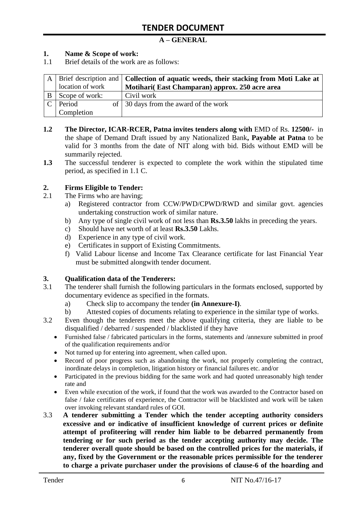# **A – GENERAL**

### **1. Name & Scope of work:**

1.1 Brief details of the work are as follows:

|   |                  | A Brief description and <b>Collection of aquatic weeds, their stacking from Moti Lake at</b> |
|---|------------------|----------------------------------------------------------------------------------------------|
|   | location of work | Motihari (East Champaran) approx. 250 acre area                                              |
| B | Scope of work:   | Civil work                                                                                   |
|   | $C$ Period       | of 30 days from the award of the work                                                        |
|   | Completion       |                                                                                              |

- **1.2 The Director, ICAR-RCER, Patna invites tenders along with** EMD of Rs. **12500/-** in the shape of Demand Draft issued by any Nationalized Bank**, Payable at Patna** to be valid for 3 months from the date of NIT along with bid. Bids without EMD will be summarily rejected.
- **1.3** The successful tenderer is expected to complete the work within the stipulated time period, as specified in 1.1 C.

#### **2. Firms Eligible to Tender:**

- 2.1 The Firms who are having;
	- a) Registered contractor from CCW/PWD/CPWD/RWD and similar govt. agencies undertaking construction work of similar nature.
	- b) Any type of single civil work of not less than **Rs.3.50** lakhs in preceding the years.
	- c) Should have net worth of at least **Rs.3.50** Lakhs.
	- d) Experience in any type of civil work.
	- e) Certificates in support of Existing Commitments.
	- f) Valid Labour license and Income Tax Clearance certificate for last Financial Year must be submitted alongwith tender document.

#### **3. Qualification data of the Tenderers:**

- 3.1 The tenderer shall furnish the following particulars in the formats enclosed, supported by documentary evidence as specified in the formats.
	- a) Check slip to accompany the tender **(in Annexure-I)**.
	- b) Attested copies of documents relating to experience in the similar type of works.
- 3.2 Even though the tenderers meet the above qualifying criteria, they are liable to be disqualified / debarred / suspended / blacklisted if they have
	- Furnished false / fabricated particulars in the forms, statements and /annexure submitted in proof of the qualification requirements and/or
	- Not turned up for entering into agreement, when called upon.
	- Record of poor progress such as abandoning the work, not properly completing the contract, inordinate delays in completion, litigation history or financial failures etc. and/or
	- Participated in the previous bidding for the same work and had quoted unreasonably high tender rate and
	- Even while execution of the work, if found that the work was awarded to the Contractor based on false / fake certificates of experience, the Contractor will be blacklisted and work will be taken over invoking relevant standard rules of GOI.
- 3.3 **A tenderer submitting a Tender which the tender accepting authority considers excessive and or indicative of insufficient knowledge of current prices or definite attempt of profiteering will render him liable to be debarred permanently from tendering or for such period as the tender accepting authority may decide. The tenderer overall quote should be based on the controlled prices for the materials, if any, fixed by the Government or the reasonable prices permissible for the tenderer to charge a private purchaser under the provisions of clause-6 of the hoarding and**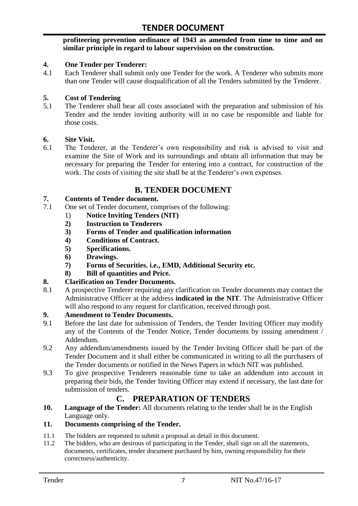#### **profiteering prevention ordinance of 1943 as amended from time to time and on similar principle in regard to labour supervision on the construction.**

#### **4. One Tender per Tenderer:**

4.1 Each Tenderer shall submit only one Tender for the work. A Tenderer who submits more than one Tender will cause disqualification of all the Tenders submitted by the Tenderer.

#### **5. Cost of Tendering**

5.1 The Tenderer shall bear all costs associated with the preparation and submission of his Tender and the tender inviting authority will in no case be responsible and liable for those costs.

#### **6. Site Visit.**

6.1 The Tenderer, at the Tenderer"s own responsibility and risk is advised to visit and examine the Site of Work and its surroundings and obtain all information that may be necessary for preparing the Tender for entering into a contract, for construction of the work. The costs of visiting the site shall be at the Tenderer's own expenses.

# **B. TENDER DOCUMENT**

#### **7. Contents of Tender document.**

- 7.1 One set of Tender document, comprises of the following:
	- 1) **Notice Inviting Tenders (NIT)**
	- **2) Instruction to Tenderers**
	- **3) Forms of Tender and qualification information**
	- **4) Conditions of Contract.**
	- **5) Specifications.**
	- **6) Drawings.**
	- **7) Forms of Securities. i.e., EMD, Additional Security etc.**
	- **8) Bill of quantities and Price.**

#### **8. Clarification on Tender Documents.**

8.1 A prospective Tenderer requiring any clarification on Tender documents may contact the Administrative Officer at the address **indicated in the NIT**. The Administrative Officer will also respond to any request for clarification, received through post.

#### **9. Amendment to Tender Documents.**

- 9.1 Before the last date for submission of Tenders, the Tender Inviting Officer may modify any of the Contents of the Tender Notice, Tender documents by issuing amendment / Addendum.
- 9.2 Any addendum/amendments issued by the Tender Inviting Officer shall be part of the Tender Document and it shall either be communicated in writing to all the purchasers of the Tender documents or notified in the News Papers in which NIT was published.
- 9.3 To give prospective Tenderers reasonable time to take an addendum into account in preparing their bids, the Tender Inviting Officer may extend if necessary, the last date for submission of tenders.

# **C. PREPARATION OF TENDERS**

**10. Language of the Tender:** All documents relating to the tender shall be in the English Language only.

# **11. Documents comprising of the Tender.**

- 11.1 The bidders are requested to submit a proposal as detail in this document.
- 11.2 The bidders, who are desirous of participating in the Tender, shall sign on all the statements, documents, certificates, tender document purchased by him, owning responsibility for their correctness/authenticity.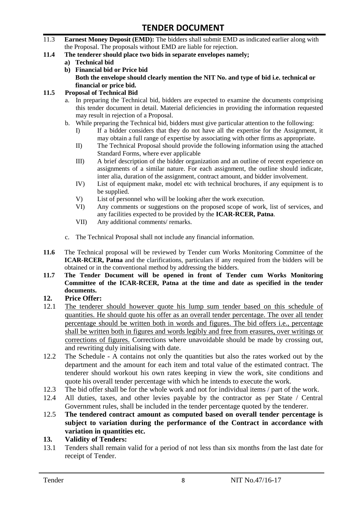- 11.3 **Earnest Money Deposit (EMD):** The bidders shall submit EMD as indicated earlier along with the Proposal. The proposals without EMD are liable for rejection.
- **11.4 The tenderer should place two bids in separate envelopes namely;**
	- **a) Technical bid**
	- **b) Financial bid or Price bid Both the envelope should clearly mention the NIT No. and type of bid i.e. technical or financial or price bid.**

#### **11.5 Proposal of Technical Bid**

- a. In preparing the Technical bid, bidders are expected to examine the documents comprising this tender document in detail. Material deficiencies in providing the information requested may result in rejection of a Proposal.
- b. While preparing the Technical bid, bidders must give particular attention to the following:
	- I) If a bidder considers that they do not have all the expertise for the Assignment, it may obtain a full range of expertise by associating with other firms as appropriate.
	- II) The Technical Proposal should provide the following information using the attached Standard Forms, where ever applicable
	- III) A brief description of the bidder organization and an outline of recent experience on assignments of a similar nature. For each assignment, the outline should indicate, inter alia, duration of the assignment, contract amount, and bidder involvement.
	- IV) List of equipment make, model etc with technical brochures, if any equipment is to be supplied.
	- V) List of personnel who will be looking after the work execution.
	- VI) Any comments or suggestions on the proposed scope of work, list of services, and any facilities expected to be provided by the **ICAR-RCER, Patna**.
	- VII) Any additional comments/ remarks.
- c. The Technical Proposal shall not include any financial information.
- **11.6** The Technical proposal will be reviewed by Tender cum Works Monitoring Committee of the **ICAR-RCER, Patna** and the clarifications, particulars if any required from the bidders will be obtained or in the conventional method by addressing the bidders.
- **11.7 The Tender Document will be opened in front of Tender cum Works Monitoring Committee of the ICAR-RCER, Patna at the time and date as specified in the tender documents.**

#### **12. Price Offer:**

- 12.1 The tenderer should however quote his lump sum tender based on this schedule of quantities. He should quote his offer as an overall tender percentage. The over all tender percentage should be written both in words and figures. The bid offers i.e., percentage shall be written both in figures and words legibly and free from erasures, over writings or corrections of figures. Corrections where unavoidable should be made by crossing out, and rewriting duly initialising with date.
- 12.2 The Schedule A contains not only the quantities but also the rates worked out by the department and the amount for each item and total value of the estimated contract. The tenderer should workout his own rates keeping in view the work, site conditions and quote his overall tender percentage with which he intends to execute the work.
- 12.3 The bid offer shall be for the whole work and not for individual items / part of the work.
- 12.4 All duties, taxes, and other levies payable by the contractor as per State / Central Government rules, shall be included in the tender percentage quoted by the tenderer.
- 12.5 **The tendered contract amount as computed based on overall tender percentage is subject to variation during the performance of the Contract in accordance with variation in quantities etc.**
- **13. Validity of Tenders:**
- 13.1 Tenders shall remain valid for a period of not less than six months from the last date for receipt of Tender.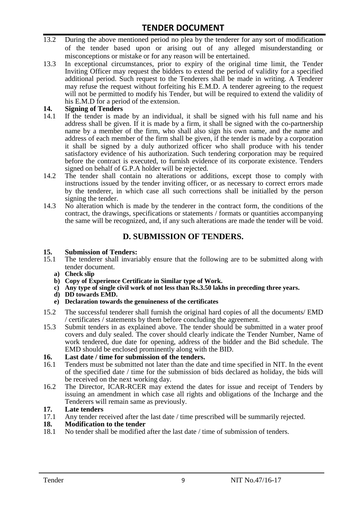- 13.2 During the above mentioned period no plea by the tenderer for any sort of modification of the tender based upon or arising out of any alleged misunderstanding or misconceptions or mistake or for any reason will be entertained.
- 13.3 In exceptional circumstances, prior to expiry of the original time limit, the Tender Inviting Officer may request the bidders to extend the period of validity for a specified additional period. Such request to the Tenderers shall be made in writing. A Tenderer may refuse the request without forfeiting his E.M.D. A tenderer agreeing to the request will not be permitted to modify his Tender, but will be required to extend the validity of his E.M.D for a period of the extension.

# 14. **Signing of Tenders**<br>14.1 If the tender is mag

- If the tender is made by an individual, it shall be signed with his full name and his address shall be given. If it is made by a firm, it shall be signed with the co-partnership name by a member of the firm, who shall also sign his own name, and the name and address of each member of the firm shall be given, if the tender is made by a corporation it shall be signed by a duly authorized officer who shall produce with his tender satisfactory evidence of his authorization. Such tendering corporation may be required before the contract is executed, to furnish evidence of its corporate existence. Tenders signed on behalf of G.P.A holder will be rejected.
- 14.2 The tender shall contain no alterations or additions, except those to comply with instructions issued by the tender inviting officer, or as necessary to correct errors made by the tenderer, in which case all such corrections shall be initialled by the person signing the tender.
- 14.3 No alteration which is made by the tenderer in the contract form, the conditions of the contract, the drawings, specifications or statements / formats or quantities accompanying the same will be recognized, and, if any such alterations are made the tender will be void.

# **D. SUBMISSION OF TENDERS.**

#### **15. Submission of Tenders:**

- 15.1 The tenderer shall invariably ensure that the following are to be submitted along with tender document.
	- **a) Check slip**
	- **b) Copy of Experience Certificate in Similar type of Work.**
	- **c) Any type of single civil work of not less than Rs.3.50 lakhs in preceding three years.**
	- **d) DD towards EMD.**
	- **e) Declaration towards the genuineness of the certificates**
- 15.2 The successful tenderer shall furnish the original hard copies of all the documents/ EMD / certificates / statements by them before concluding the agreement.
- 15.3 Submit tenders in as explained above. The tender should be submitted in a water proof covers and duly sealed. The cover should clearly indicate the Tender Number, Name of work tendered, due date for opening, address of the bidder and the Bid schedule. The EMD should be enclosed prominently along with the BID.

# **16. Last date / time for submission of the tenders.**

- Tenders must be submitted not later than the date and time specified in NIT. In the event of the specified date / time for the submission of bids declared as holiday, the bids will be received on the next working day.
- 16.2 The Director, ICAR-RCER may extend the dates for issue and receipt of Tenders by issuing an amendment in which case all rights and obligations of the Incharge and the Tenderers will remain same as previously.

#### **17. Late tenders**

17.1 Any tender received after the last date / time prescribed will be summarily rejected.<br>18. Modification to the tender

# **18. Modification to the tender**<br>18.1 No tender shall be modified

No tender shall be modified after the last date / time of submission of tenders.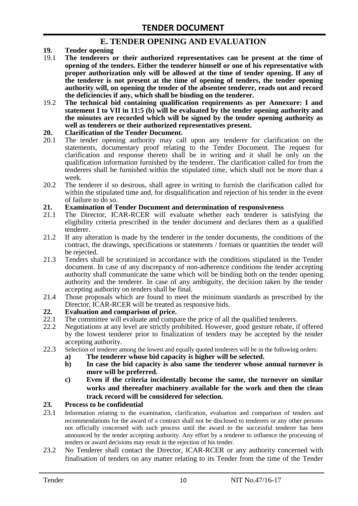# **E. TENDER OPENING AND EVALUATION**

- **19. Tender opening**
- 19.1 **The tenderers or their authorized representatives can be present at the time of opening of the tenders. Either the tenderer himself or one of his representative with proper authorization only will be allowed at the time of tender opening. If any of the tenderer is not present at the time of opening of tenders, the tender opening authority will, on opening the tender of the absentee tenderer, reads out and record the deficiencies if any, which shall be binding on the tenderer.**
- 19.2 **The technical bid containing qualification requirements as per Annexure: I and statement I to VII in 11:5 (b) will be evaluated by the tender opening authority and the minutes are recorded which will be signed by the tender opening authority as well as tenderers or their authorized representatives present.**

#### **20. Clarification of the Tender Document.**

- 20.1 The tender opening authority may call upon any tenderer for clarification on the statements, documentary proof relating to the Tender Document. The request for clarification and response thereto shall be in writing and it shall be only on the qualification information furnished by the tenderer. The clarification called for from the tenderers shall be furnished within the stipulated time, which shall not be more than a week.
- 20.2 The tenderer if so desirous, shall agree in writing to furnish the clarification called for within the stipulated time and, for disqualification and rejection of his tender in the event of failure to do so.

# **21. Examination of Tender Document and determination of responsiveness**

- 21.1 The Director, ICAR-RCER will evaluate whether each tenderer is satisfying the eligibility criteria prescribed in the tender document and declares them as a qualified tenderer.
- 21.2 If any alteration is made by the tenderer in the tender documents, the conditions of the contract, the drawings, specifications or statements / formats or quantities the tender will be rejected.
- 21.3 Tenders shall be scrutinized in accordance with the conditions stipulated in the Tender document. In case of any discrepancy of non-adherence conditions the tender accepting authority shall communicate the same which will be binding both on the tender opening authority and the tenderer. In case of any ambiguity, the decision taken by the tender accepting authority on tenders shall be final.
- 21.4 Those proposals which are found to meet the minimum standards as prescribed by the Director, ICAR-RCER will be treated as responsive bids.

# **22. Evaluation and comparison of price.**

- The committee will evaluate and compare the price of all the qualified tenderers.
- 22.2 Negotiations at any level are strictly prohibited. However, good gesture rebate, if offered by the lowest tenderer prior to finalization of tenders may be accepted by the tender accepting authority.
- 22.3 Selection of tenderer among the lowest and equally quoted tenderers will be in the following orders:
	- **a) The tenderer whose bid capacity is higher will be selected.**
	- **b) In case the bid capacity is also same the tenderer whose annual turnover is more will be preferred.**
	- **c) Even if the criteria incidentally become the same, the turnover on similar works and thereafter machinery available for the work and then the clean track record will be considered for selection.**

#### **23. Process to be confidential**

- 23.1 Information relating to the examination, clarification, evaluation and comparison of tenders and recommendations for the award of a contract shall not be disclosed to tenderers or any other persons not officially concerned with such process until the award to the successful tenderer has been announced by the tender accepting authority. Any effort by a tenderer to influence the processing of tenders or award decisions may result in the rejection of his tender.
- 23.2 No Tenderer shall contact the Director, ICAR-RCER or any authority concerned with finalisation of tenders on any matter relating to its Tender from the time of the Tender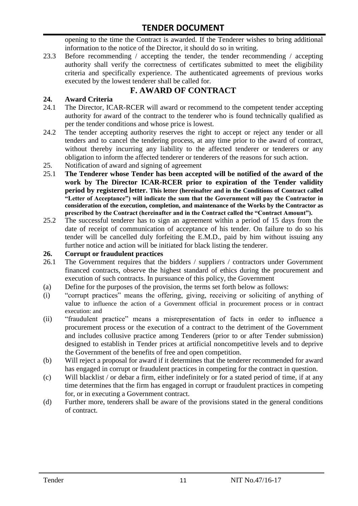opening to the time the Contract is awarded. If the Tenderer wishes to bring additional information to the notice of the Director, it should do so in writing.

23.3 Before recommending / accepting the tender, the tender recommending / accepting authority shall verify the correctness of certificates submitted to meet the eligibility criteria and specifically experience. The authenticated agreements of previous works executed by the lowest tenderer shall be called for.

# **F. AWARD OF CONTRACT**

# **24. Award Criteria**

- 24.1 The Director, ICAR-RCER will award or recommend to the competent tender accepting authority for award of the contract to the tenderer who is found technically qualified as per the tender conditions and whose price is lowest.
- 24.2 The tender accepting authority reserves the right to accept or reject any tender or all tenders and to cancel the tendering process, at any time prior to the award of contract, without thereby incurring any liability to the affected tenderer or tenderers or any obligation to inform the affected tenderer or tenderers of the reasons for such action.
- 25. Notification of award and signing of agreement
- 25.1 **The Tenderer whose Tender has been accepted will be notified of the award of the work by The Director ICAR-RCER prior to expiration of the Tender validity period by registered letter. This letter (hereinafter and in the Conditions of Contract called "Letter of Acceptance") will indicate the sum that the Government will pay the Contractor in consideration of the execution, completion, and maintenance of the Works by the Contractor as prescribed by the Contract (hereinafter and in the Contract called the "Contract Amount").**
- 25.2 The successful tenderer has to sign an agreement within a period of 15 days from the date of receipt of communication of acceptance of his tender. On failure to do so his tender will be cancelled duly forfeiting the E.M.D., paid by him without issuing any further notice and action will be initiated for black listing the tenderer.

### **26. Corrupt or fraudulent practices**

- 26.1 The Government requires that the bidders / suppliers / contractors under Government financed contracts, observe the highest standard of ethics during the procurement and execution of such contracts. In pursuance of this policy, the Government
- (a) Define for the purposes of the provision, the terms set forth below as follows:
- (i) "corrupt practices" means the offering, giving, receiving or soliciting of anything of value to influence the action of a Government official in procurement process or in contract execution: and
- (ii) "fraudulent practice" means a misrepresentation of facts in order to influence a procurement process or the execution of a contract to the detriment of the Government and includes collusive practice among Tenderers (prior to or after Tender submission) designed to establish in Tender prices at artificial noncompetitive levels and to deprive the Government of the benefits of free and open competition.
- (b) Will reject a proposal for award if it determines that the tenderer recommended for award has engaged in corrupt or fraudulent practices in competing for the contract in question.
- (c) Will blacklist / or debar a firm, either indefinitely or for a stated period of time, if at any time determines that the firm has engaged in corrupt or fraudulent practices in competing for, or in executing a Government contract.
- (d) Further more, tenderers shall be aware of the provisions stated in the general conditions of contract.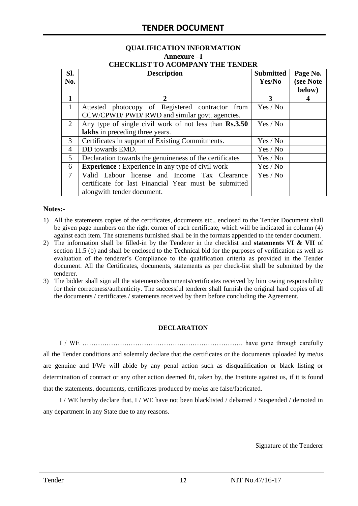#### **QUALIFICATION INFORMATION Annexure –I CHECKLIST TO ACOMPANY THE TENDER**

| Sl.<br>No.   | <b>Description</b>                                                                                                                   | <b>Submitted</b><br>Yes/No | Page No.<br>(see Note<br>below) |
|--------------|--------------------------------------------------------------------------------------------------------------------------------------|----------------------------|---------------------------------|
| 1            | $\mathcal{D}_{\cdot}$                                                                                                                | 3                          |                                 |
| $\mathbf{1}$ | Attested photocopy of Registered contractor from<br>CCW/CPWD/ PWD/ RWD and similar govt. agencies.                                   | Yes / No                   |                                 |
| 2            | Any type of single civil work of not less than Rs.3.50<br>lakhs in preceding three years.                                            | Yes / No                   |                                 |
| 3            | Certificates in support of Existing Commitments.                                                                                     | Yes / No                   |                                 |
| 4            | DD towards EMD.                                                                                                                      | Yes / No                   |                                 |
| 5            | Declaration towards the genuineness of the certificates                                                                              | Yes / No                   |                                 |
| 6            | <b>Experience :</b> Experience in any type of civil work                                                                             | Yes / No                   |                                 |
| 7            | Valid Labour license and Income Tax Clearance<br>certificate for last Financial Year must be submitted<br>alongwith tender document. | Yes / No                   |                                 |

#### **Notes:-**

- 1) All the statements copies of the certificates, documents etc., enclosed to the Tender Document shall be given page numbers on the right corner of each certificate, which will be indicated in column (4) against each item. The statements furnished shall be in the formats appended to the tender document.
- 2) The information shall be filled-in by the Tenderer in the checklist and **statements VI & VII** of section 11.5 (b) and shall be enclosed to the Technical bid for the purposes of verification as well as evaluation of the tenderer"s Compliance to the qualification criteria as provided in the Tender document. All the Certificates, documents, statements as per check-list shall be submitted by the tenderer.
- 3) The bidder shall sign all the statements/documents/certificates received by him owing responsibility for their correctness/authenticity. The successful tenderer shall furnish the original hard copies of all the documents / certificates / statements received by them before concluding the Agreement.

#### **DECLARATION**

I / WE ………………………………………………………………. have gone through carefully all the Tender conditions and solemnly declare that the certificates or the documents uploaded by me/us are genuine and I/We will abide by any penal action such as disqualification or black listing or determination of contract or any other action deemed fit, taken by, the Institute against us, if it is found that the statements, documents, certificates produced by me/us are false/fabricated.

I / WE hereby declare that, I / WE have not been blacklisted / debarred / Suspended / demoted in any department in any State due to any reasons.

Signature of the Tenderer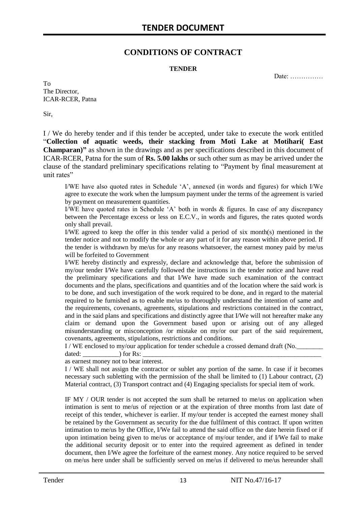# **CONDITIONS OF CONTRACT**

#### **TENDER**

Date: ……………

To The Director, ICAR-RCER, Patna

Sir,

I / We do hereby tender and if this tender be accepted, under take to execute the work entitled "**Collection of aquatic weeds, their stacking from Moti Lake at Motihari( East Champaran)"** as shown in the drawings and as per specifications described in this document of ICAR-RCER, Patna for the sum of **Rs. 5.00 lakhs** or such other sum as may be arrived under the clause of the standard preliminary specifications relating to "Payment by final measurement at unit rates"

I/WE have also quoted rates in Schedule "A", annexed (in words and figures) for which I/We agree to execute the work when the lumpsum payment under the terms of the agreement is varied by payment on measurement quantities.

I/WE have quoted rates in Schedule "A" both in words & figures. In case of any discrepancy between the Percentage excess or less on E.C.V., in words and figures, the rates quoted words only shall prevail.

I/WE agreed to keep the offer in this tender valid a period of six month(s) mentioned in the tender notice and not to modify the whole or any part of it for any reason within above period. If the tender is withdrawn by me/us for any reasons whatsoever, the earnest money paid by me/us will be forfeited to Government

I/WE hereby distinctly and expressly, declare and acknowledge that, before the submission of my/our tender I/We have carefully followed the instructions in the tender notice and have read the preliminary specifications and that I/We have made such examination of the contract documents and the plans, specifications and quantities and of the location where the said work is to be done, and such investigation of the work required to be done, and in regard to the material required to be furnished as to enable me/us to thoroughly understand the intention of same and the requirements, covenants, agreements, stipulations and restrictions contained in the contract, and in the said plans and specifications and distinctly agree that I/We will not hereafter make any claim or demand upon the Government based upon or arising out of any alleged misunderstanding or misconception /or mistake on my/or our part of the said requirement, covenants, agreements, stipulations, restrictions and conditions.

I / WE enclosed to my/our application for tender schedule a crossed demand draft (No.

dated:  $\qquad \qquad$  ) for Rs: as earnest money not to bear interest.

I / WE shall not assign the contractor or sublet any portion of the same. In case if it becomes necessary such subletting with the permission of the shall be limited to (1) Labour contract, (2) Material contract, (3) Transport contract and (4) Engaging specialists for special item of work.

IF MY / OUR tender is not accepted the sum shall be returned to me/us on application when intimation is sent to me/us of rejection or at the expiration of three months from last date of receipt of this tender, whichever is earlier. If my/our tender is accepted the earnest money shall be retained by the Government as security for the due fulfilment of this contract. If upon written intimation to me/us by the Office, I/We fail to attend the said office on the date herein fixed or if upon intimation being given to me/us or acceptance of my/our tender, and if I/We fail to make the additional security deposit or to enter into the required agreement as defined in tender document, then I/We agree the forfeiture of the earnest money. Any notice required to be served on me/us here under shall be sufficiently served on me/us if delivered to me/us hereunder shall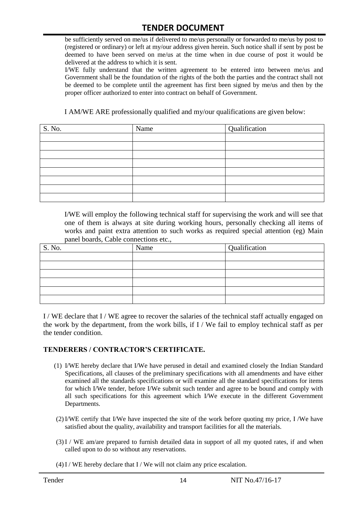be sufficiently served on me/us if delivered to me/us personally or forwarded to me/us by post to (registered or ordinary) or left at my/our address given herein. Such notice shall if sent by post be deemed to have been served on me/us at the time when in due course of post it would be delivered at the address to which it is sent.

I/WE fully understand that the written agreement to be entered into between me/us and Government shall be the foundation of the rights of the both the parties and the contract shall not be deemed to be complete until the agreement has first been signed by me/us and then by the proper officer authorized to enter into contract on behalf of Government.

I AM/WE ARE professionally qualified and my/our qualifications are given below:

| S. No. | Name | Qualification |
|--------|------|---------------|
|        |      |               |
|        |      |               |
|        |      |               |
|        |      |               |
|        |      |               |
|        |      |               |
|        |      |               |
|        |      |               |

I/WE will employ the following technical staff for supervising the work and will see that one of them is always at site during working hours, personally checking all items of works and paint extra attention to such works as required special attention (eg) Main panel boards, Cable connections etc.,

| S. No. | Name | Qualification |
|--------|------|---------------|
|        |      |               |
|        |      |               |
|        |      |               |
|        |      |               |
|        |      |               |
|        |      |               |

I / WE declare that I / WE agree to recover the salaries of the technical staff actually engaged on the work by the department, from the work bills, if I / We fail to employ technical staff as per the tender condition.

#### **TENDERERS / CONTRACTOR'S CERTIFICATE.**

- (1) I/WE hereby declare that I/We have perused in detail and examined closely the Indian Standard Specifications, all clauses of the preliminary specifications with all amendments and have either examined all the standards specifications or will examine all the standard specifications for items for which I/We tender, before I/We submit such tender and agree to be bound and comply with all such specifications for this agreement which I/We execute in the different Government Departments.
- (2)I/WE certify that I/We have inspected the site of the work before quoting my price, I /We have satisfied about the quality, availability and transport facilities for all the materials.
- (3)I / WE am/are prepared to furnish detailed data in support of all my quoted rates, if and when called upon to do so without any reservations.
- $(4)$ I / WE hereby declare that I / We will not claim any price escalation.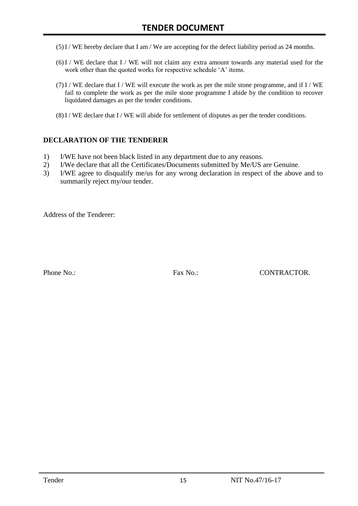- (5)I / WE hereby declare that I am / We are accepting for the defect liability period as 24 months.
- (6)I / WE declare that I / WE will not claim any extra amount towards any material used for the work other than the quoted works for respective schedule 'A' items.
- $(7)$ I / WE declare that I / WE will execute the work as per the mile stone programme, and if I / WE fail to complete the work as per the mile stone programme I abide by the condition to recover liquidated damages as per the tender conditions.
- $(8)$ I / WE declare that I / WE will abide for settlement of disputes as per the tender conditions.

#### **DECLARATION OF THE TENDERER**

- 1) I/WE have not been black listed in any department due to any reasons.
- 2) I/We declare that all the Certificates/Documents submitted by Me/US are Genuine.
- 3) I/WE agree to disqualify me/us for any wrong declaration in respect of the above and to summarily reject my/our tender.

Address of the Tenderer:

Phone No.: Fax No.: CONTRACTOR.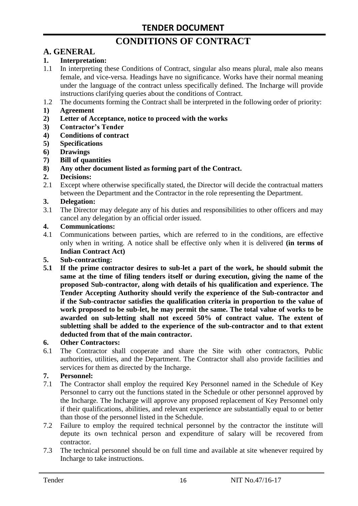# **CONDITIONS OF CONTRACT**

# **A. GENERAL**

### **1. Interpretation:**

- 1.1 In interpreting these Conditions of Contract, singular also means plural, male also means female, and vice-versa. Headings have no significance. Works have their normal meaning under the language of the contract unless specifically defined. The Incharge will provide instructions clarifying queries about the conditions of Contract.
- 1.2 The documents forming the Contract shall be interpreted in the following order of priority:
- **1) Agreement**
- **2) Letter of Acceptance, notice to proceed with the works**
- **3) Contractor's Tender**
- **4) Conditions of contract**
- **5) Specifications**
- **6) Drawings**
- **7) Bill of quantities**
- **8) Any other document listed as forming part of the Contract.**

#### **2. Decisions:**

2.1 Except where otherwise specifically stated, the Director will decide the contractual matters between the Department and the Contractor in the role representing the Department.

#### **3. Delegation:**

3.1 The Director may delegate any of his duties and responsibilities to other officers and may cancel any delegation by an official order issued.

#### **4. Communications:**

4.1 Communications between parties, which are referred to in the conditions, are effective only when in writing. A notice shall be effective only when it is delivered **(in terms of Indian Contract Act)**

#### **5. Sub-contracting:**

**5.1 If the prime contractor desires to sub-let a part of the work, he should submit the same at the time of filing tenders itself or during execution, giving the name of the proposed Sub-contractor, along with details of his qualification and experience. The Tender Accepting Authority should verify the experience of the Sub-contractor and if the Sub-contractor satisfies the qualification criteria in proportion to the value of work proposed to be sub-let, he may permit the same. The total value of works to be awarded on sub-letting shall not exceed 50% of contract value. The extent of subletting shall be added to the experience of the sub-contractor and to that extent deducted from that of the main contractor.**

#### **6. Other Contractors:**

6.1 The Contractor shall cooperate and share the Site with other contractors, Public authorities, utilities, and the Department. The Contractor shall also provide facilities and services for them as directed by the Incharge.

#### **7. Personnel:**

- 7.1 The Contractor shall employ the required Key Personnel named in the Schedule of Key Personnel to carry out the functions stated in the Schedule or other personnel approved by the Incharge. The Incharge will approve any proposed replacement of Key Personnel only if their qualifications, abilities, and relevant experience are substantially equal to or better than those of the personnel listed in the Schedule.
- 7.2 Failure to employ the required technical personnel by the contractor the institute will depute its own technical person and expenditure of salary will be recovered from contractor.
- 7.3 The technical personnel should be on full time and available at site whenever required by Incharge to take instructions.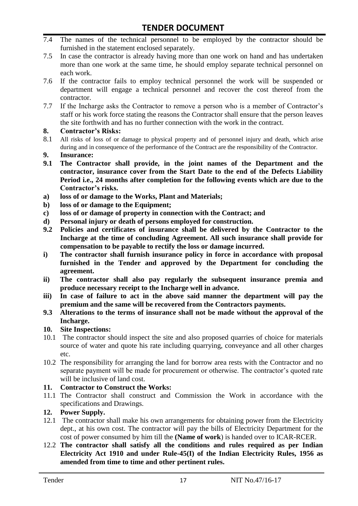- 7.4 The names of the technical personnel to be employed by the contractor should be furnished in the statement enclosed separately.
- 7.5 In case the contractor is already having more than one work on hand and has undertaken more than one work at the same time, he should employ separate technical personnel on each work.
- 7.6 If the contractor fails to employ technical personnel the work will be suspended or department will engage a technical personnel and recover the cost thereof from the contractor.
- 7.7 If the Incharge asks the Contractor to remove a person who is a member of Contractor"s staff or his work force stating the reasons the Contractor shall ensure that the person leaves the site forthwith and has no further connection with the work in the contract.

#### **8. Contractor's Risks:**

- 8.1 All risks of loss of or damage to physical property and of personnel injury and death, which arise during and in consequence of the performance of the Contract are the responsibility of the Contractor.
- **9. Insurance:**
- **9.1 The Contractor shall provide, in the joint names of the Department and the contractor, insurance cover from the Start Date to the end of the Defects Liability Period i.e., 24 months after completion for the following events which are due to the Contractor's risks.**
- **a) loss of or damage to the Works, Plant and Materials;**
- **b) loss of or damage to the Equipment;**
- **c) loss of or damage of property in connection with the Contract; and**
- **d) Personal injury or death of persons employed for construction.**
- **9.2 Policies and certificates of insurance shall be delivered by the Contractor to the Incharge at the time of concluding Agreement. All such insurance shall provide for compensation to be payable to rectify the loss or damage incurred.**
- **i) The contractor shall furnish insurance policy in force in accordance with proposal furnished in the Tender and approved by the Department for concluding the agreement.**
- **ii) The contractor shall also pay regularly the subsequent insurance premia and produce necessary receipt to the Incharge well in advance.**
- **iii) In case of failure to act in the above said manner the department will pay the premium and the same will be recovered from the Contractors payments.**
- **9.3 Alterations to the terms of insurance shall not be made without the approval of the Incharge.**

#### **10. Site Inspections:**

- 10.1 The contractor should inspect the site and also proposed quarries of choice for materials source of water and quote his rate including quarrying, conveyance and all other charges etc.
- 10.2 The responsibility for arranging the land for borrow area rests with the Contractor and no separate payment will be made for procurement or otherwise. The contractor's quoted rate will be inclusive of land cost.

#### **11. Contractor to Construct the Works:**

11.1 The Contractor shall construct and Commission the Work in accordance with the specifications and Drawings.

# **12. Power Supply.**

- 12.1 The contractor shall make his own arrangements for obtaining power from the Electricity dept., at his own cost. The contractor will pay the bills of Electricity Department for the cost of power consumed by him till the **(Name of work**) is handed over to ICAR-RCER.
- 12.2 **The contractor shall satisfy all the conditions and rules required as per Indian Electricity Act 1910 and under Rule-45(I) of the Indian Electricity Rules, 1956 as amended from time to time and other pertinent rules.**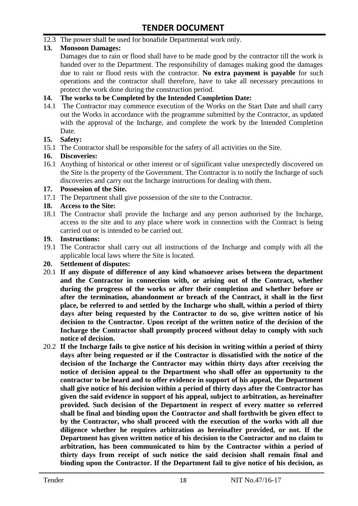12.3 The power shall be used for bonafide Departmental work only.

# **13. Monsoon Damages:**

Damages due to rain or flood shall have to be made good by the contractor till the work is handed over to the Department. The responsibility of damages making good the damages due to rain or flood rests with the contractor. **No extra payment is payable** for such operations and the contractor shall therefore, have to take all necessary precautions to protect the work done during the construction period.

#### **14. The works to be Completed by the Intended Completion Date:**

14.1 The Contractor may commence execution of the Works on the Start Date and shall carry out the Works in accordance with the programme submitted by the Contractor, as updated with the approval of the Incharge, and complete the work by the Intended Completion Date.

#### **15. Safety:**

15.1 The Contractor shall be responsible for the safety of all activities on the Site.

#### **16. Discoveries:**

16.1 Anything of historical or other interest or of significant value unexpectedly discovered on the Site is the property of the Government. The Contractor is to notify the Incharge of such discoveries and carry out the Incharge instructions for dealing with them.

#### **17. Possession of the Site.**

17.1 The Department shall give possession of the site to the Contractor.

# **18. Access to the Site:**

18.1 The Contractor shall provide the Incharge and any person authorised by the Incharge, access to the site and to any place where work in connection with the Contract is being carried out or is intended to be carried out.

#### **19. Instructions:**

- 19.1 The Contractor shall carry out all instructions of the Incharge and comply with all the applicable local laws where the Site is located.
- **20. Settlement of disputes:**
- 20.1 **If any dispute of difference of any kind whatsoever arises between the department and the Contractor in connection with, or arising out of the Contract, whether during the progress of the works or after their completion and whether before or after the termination, abandonment or breach of the Contract, it shall in the first place, be referred to and settled by the Incharge who shall, within a period of thirty days after being requested by the Contractor to do so, give written notice of his decision to the Contractor. Upon receipt of the written notice of the decision of the Incharge the Contractor shall promptly proceed without delay to comply with such notice of decision.**
- 20.2 **If the Incharge fails to give notice of his decision in writing within a period of thirty days after being requested or if the Contractor is dissatisfied with the notice of the decision of the Incharge the Contractor may within thirty days after receiving the notice of decision appeal to the Department who shall offer an opportunity to the contractor to be heard and to offer evidence in support of his appeal, the Department shall give notice of his decision within a period of thirty days after the Contractor has given the said evidence in support of his appeal, subject to arbitration, as hereinafter provided. Such decision of the Department in respect of every matter so referred shall be final and binding upon the Contractor and shall forthwith be given effect to by the Contractor, who shall proceed with the execution of the works with all due diligence whether he requires arbitration as hereinafter provided, or not. If the Department has given written notice of his decision to the Contractor and no claim to arbitration, has been communicated to him by the Contractor within a period of thirty days from receipt of such notice the said decision shall remain final and binding upon the Contractor. If the Department fail to give notice of his decision, as**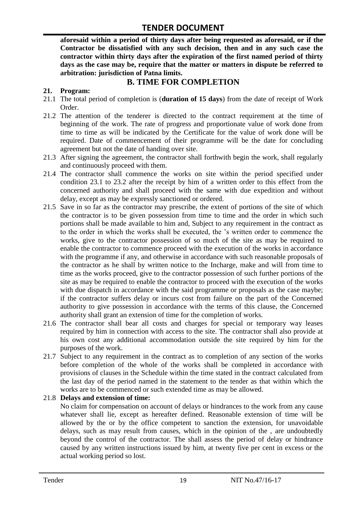**aforesaid within a period of thirty days after being requested as aforesaid, or if the Contractor be dissatisfied with any such decision, then and in any such case the contractor within thirty days after the expiration of the first named period of thirty days as the case may be, require that the matter or matters in dispute be referred to arbitration: jurisdiction of Patna limits.**

# **B. TIME FOR COMPLETION**

# **21. Program:**

- 21.1 The total period of completion is (**duration of 15 days**) from the date of receipt of Work Order.
- 21.2 The attention of the tenderer is directed to the contract requirement at the time of beginning of the work. The rate of progress and proportionate value of work done from time to time as will be indicated by the Certificate for the value of work done will be required. Date of commencement of their programme will be the date for concluding agreement but not the date of handing over site.
- 21.3 After signing the agreement, the contractor shall forthwith begin the work, shall regularly and continuously proceed with them.
- 21.4 The contractor shall commence the works on site within the period specified under condition 23.1 to 23.2 after the receipt by him of a written order to this effect from the concerned authority and shall proceed with the same with due expedition and without delay, except as may be expressly sanctioned or ordered.
- 21.5 Save in so far as the contractor may prescribe, the extent of portions of the site of which the contractor is to be given possession from time to time and the order in which such portions shall be made available to him and, Subject to any requirement in the contract as to the order in which the works shall be executed, the "s written order to commence the works, give to the contractor possession of so much of the site as may be required to enable the contractor to commence proceed with the execution of the works in accordance with the programme if any, and otherwise in accordance with such reasonable proposals of the contractor as he shall by written notice to the Incharge, make and will from time to time as the works proceed, give to the contractor possession of such further portions of the site as may be required to enable the contractor to proceed with the execution of the works with due dispatch in accordance with the said programme or proposals as the case maybe; if the contractor suffers delay or incurs cost from failure on the part of the Concerned authority to give possession in accordance with the terms of this clause, the Concerned authority shall grant an extension of time for the completion of works.
- 21.6 The contractor shall bear all costs and charges for special or temporary way leases required by him in connection with access to the site. The contractor shall also provide at his own cost any additional accommodation outside the site required by him for the purposes of the work.
- 21.7 Subject to any requirement in the contract as to completion of any section of the works before completion of the whole of the works shall be completed in accordance with provisions of clauses in the Schedule within the time stated in the contract calculated from the last day of the period named in the statement to the tender as that within which the works are to be commenced or such extended time as may be allowed.

# 21.8 **Delays and extension of time:**

No claim for compensation on account of delays or hindrances to the work from any cause whatever shall lie, except as hereafter defined. Reasonable extension of time will be allowed by the or by the office competent to sanction the extension, for unavoidable delays, such as may result from causes, which in the opinion of the , are undoubtedly beyond the control of the contractor. The shall assess the period of delay or hindrance caused by any written instructions issued by him, at twenty five per cent in excess or the actual working period so lost.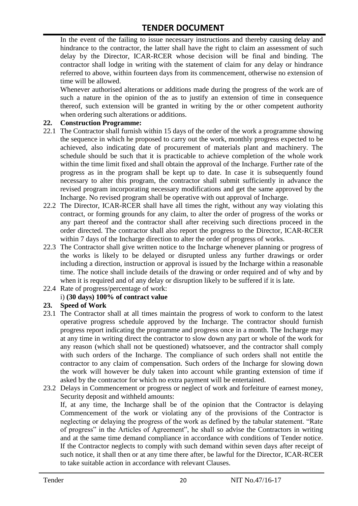In the event of the failing to issue necessary instructions and thereby causing delay and hindrance to the contractor, the latter shall have the right to claim an assessment of such delay by the Director, ICAR-RCER whose decision will be final and binding. The contractor shall lodge in writing with the statement of claim for any delay or hindrance referred to above, within fourteen days from its commencement, otherwise no extension of time will be allowed.

Whenever authorised alterations or additions made during the progress of the work are of such a nature in the opinion of the as to justify an extension of time in consequence thereof, such extension will be granted in writing by the or other competent authority when ordering such alterations or additions.

#### **22. Construction Programme:**

- 22.1 The Contractor shall furnish within 15 days of the order of the work a programme showing the sequence in which he proposed to carry out the work, monthly progress expected to be achieved, also indicating date of procurement of materials plant and machinery. The schedule should be such that it is practicable to achieve completion of the whole work within the time limit fixed and shall obtain the approval of the Incharge. Further rate of the progress as in the program shall be kept up to date. In case it is subsequently found necessary to alter this program, the contractor shall submit sufficiently in advance the revised program incorporating necessary modifications and get the same approved by the Incharge. No revised program shall be operative with out approval of Incharge.
- 22.2 The Director, ICAR-RCER shall have all times the right, without any way violating this contract, or forming grounds for any claim, to alter the order of progress of the works or any part thereof and the contractor shall after receiving such directions proceed in the order directed. The contractor shall also report the progress to the Director, ICAR-RCER within 7 days of the Incharge direction to alter the order of progress of works.
- 22.3 The Contractor shall give written notice to the Incharge whenever planning or progress of the works is likely to be delayed or disrupted unless any further drawings or order including a direction, instruction or approval is issued by the Incharge within a reasonable time. The notice shall include details of the drawing or order required and of why and by when it is required and of any delay or disruption likely to be suffered if it is late.
- 22.4 Rate of progress/percentage of work:

# i) **(30 days) 100% of contract value**

#### **23. Speed of Work**

- 23.1 The Contractor shall at all times maintain the progress of work to conform to the latest operative progress schedule approved by the Incharge. The contractor should furnish progress report indicating the programme and progress once in a month. The Incharge may at any time in writing direct the contractor to slow down any part or whole of the work for any reason (which shall not be questioned) whatsoever, and the contractor shall comply with such orders of the Incharge. The compliance of such orders shall not entitle the contractor to any claim of compensation. Such orders of the Incharge for slowing down the work will however be duly taken into account while granting extension of time if asked by the contractor for which no extra payment will be entertained.
- 23.2 Delays in Commencement or progress or neglect of work and forfeiture of earnest money, Security deposit and withheld amounts:

If, at any time, the Incharge shall be of the opinion that the Contractor is delaying Commencement of the work or violating any of the provisions of the Contractor is neglecting or delaying the progress of the work as defined by the tabular statement. "Rate of progress" in the Articles of Agreement", he shall so advise the Contractors in writing and at the same time demand compliance in accordance with conditions of Tender notice. If the Contractor neglects to comply with such demand within seven days after receipt of such notice, it shall then or at any time there after, be lawful for the Director, ICAR-RCER to take suitable action in accordance with relevant Clauses.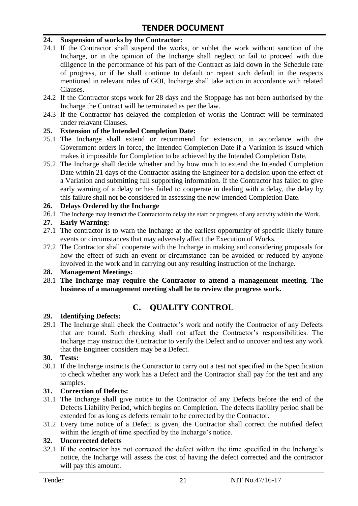#### **24. Suspension of works by the Contractor:**

- 24.1 If the Contractor shall suspend the works, or sublet the work without sanction of the Incharge, or in the opinion of the Incharge shall neglect or fail to proceed with due diligence in the performance of his part of the Contract as laid down in the Schedule rate of progress, or if he shall continue to default or repeat such default in the respects mentioned in relevant rules of GOI, Incharge shall take action in accordance with related Clauses.
- 24.2 If the Contractor stops work for 28 days and the Stoppage has not been authorised by the Incharge the Contract will be terminated as per the law.
- 24.3 If the Contractor has delayed the completion of works the Contract will be terminated under relavant Clauses.

#### **25. Extension of the Intended Completion Date:**

- 25.1 The Incharge shall extend or recommend for extension, in accordance with the Government orders in force, the Intended Completion Date if a Variation is issued which makes it impossible for Completion to be achieved by the Intended Completion Date.
- 25.2 The Incharge shall decide whether and by how much to extend the Intended Completion Date within 21 days of the Contractor asking the Engineer for a decision upon the effect of a Variation and submitting full supporting information. If the Contractor has failed to give early warning of a delay or has failed to cooperate in dealing with a delay, the delay by this failure shall not be considered in assessing the new Intended Completion Date.

#### **26. Delays Ordered by the Incharge**

26.1 The Incharge may instruct the Contractor to delay the start or progress of any activity within the Work.

#### **27. Early Warning:**

- 27.1 The contractor is to warn the Incharge at the earliest opportunity of specific likely future events or circumstances that may adversely affect the Execution of Works.
- 27.2 The Contractor shall cooperate with the Incharge in making and considering proposals for how the effect of such an event or circumstance can be avoided or reduced by anyone involved in the work and in carrying out any resulting instruction of the Incharge.

#### **28. Management Meetings:**

28.1 **The Incharge may require the Contractor to attend a management meeting. The business of a management meeting shall be to review the progress work.**

# **C. QUALITY CONTROL**

#### **29. Identifying Defects:**

29.1 The Incharge shall check the Contractor's work and notify the Contractor of any Defects that are found. Such checking shall not affect the Contractor"s responsibilities. The Incharge may instruct the Contractor to verify the Defect and to uncover and test any work that the Engineer considers may be a Defect.

#### **30. Tests:**

30.1 If the Incharge instructs the Contractor to carry out a test not specified in the Specification to check whether any work has a Defect and the Contractor shall pay for the test and any samples.

#### **31. Correction of Defects:**

- 31.1 The Incharge shall give notice to the Contractor of any Defects before the end of the Defects Liability Period, which begins on Completion. The defects liability period shall be extended for as long as defects remain to be corrected by the Contractor.
- 31.2 Every time notice of a Defect is given, the Contractor shall correct the notified defect within the length of time specified by the Incharge's notice.

# **32. Uncorrected defects**

32.1 If the contractor has not corrected the defect within the time specified in the Incharge"s notice, the Incharge will assess the cost of having the defect corrected and the contractor will pay this amount.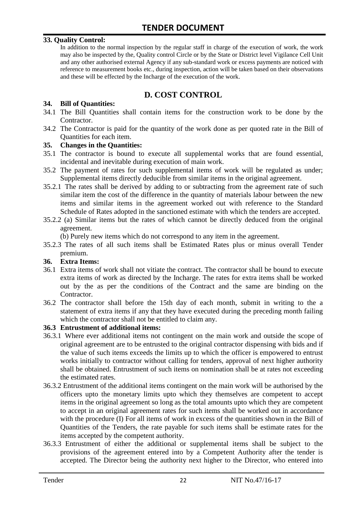#### **33. Quality Control:**

In addition to the normal inspection by the regular staff in charge of the execution of work, the work may also be inspected by the, Quality control Circle or by the State or District level Vigilance Cell Unit and any other authorised external Agency if any sub-standard work or excess payments are noticed with reference to measurement books etc., during inspection, action will be taken based on their observations and these will be effected by the Incharge of the execution of the work.

# **D. COST CONTROL**

#### **34. Bill of Quantities:**

- 34.1 The Bill Quantities shall contain items for the construction work to be done by the Contractor.
- 34.2 The Contractor is paid for the quantity of the work done as per quoted rate in the Bill of Quantities for each item.

#### **35. Changes in the Quantities:**

- 35.1 The contractor is bound to execute all supplemental works that are found essential, incidental and inevitable during execution of main work.
- 35.2 The payment of rates for such supplemental items of work will be regulated as under; Supplemental items directly deducible from similar items in the original agreement.
- 35.2.1 The rates shall be derived by adding to or subtracting from the agreement rate of such similar item the cost of the difference in the quantity of materials labour between the new items and similar items in the agreement worked out with reference to the Standard Schedule of Rates adopted in the sanctioned estimate with which the tenders are accepted.
- 35.2.2 (a) Similar items but the rates of which cannot be directly deduced from the original agreement.

(b) Purely new items which do not correspond to any item in the agreement.

35.2.3 The rates of all such items shall be Estimated Rates plus or minus overall Tender premium.

#### **36. Extra Items:**

- 36.1 Extra items of work shall not vitiate the contract. The contractor shall be bound to execute extra items of work as directed by the Incharge. The rates for extra items shall be worked out by the as per the conditions of the Contract and the same are binding on the Contractor.
- 36.2 The contractor shall before the 15th day of each month, submit in writing to the a statement of extra items if any that they have executed during the preceding month failing which the contractor shall not be entitled to claim any.

#### **36.3 Entrustment of additional items:**

- 36.3.1 Where ever additional items not contingent on the main work and outside the scope of original agreement are to be entrusted to the original contractor dispensing with bids and if the value of such items exceeds the limits up to which the officer is empowered to entrust works initially to contractor without calling for tenders, approval of next higher authority shall be obtained. Entrustment of such items on nomination shall be at rates not exceeding the estimated rates.
- 36.3.2 Entrustment of the additional items contingent on the main work will be authorised by the officers upto the monetary limits upto which they themselves are competent to accept items in the original agreement so long as the total amounts upto which they are competent to accept in an original agreement rates for such items shall be worked out in accordance with the procedure (I) For all items of work in excess of the quantities shown in the Bill of Quantities of the Tenders, the rate payable for such items shall be estimate rates for the items accepted by the competent authority.
- 36.3.3 Entrustment of either the additional or supplemental items shall be subject to the provisions of the agreement entered into by a Competent Authority after the tender is accepted. The Director being the authority next higher to the Director, who entered into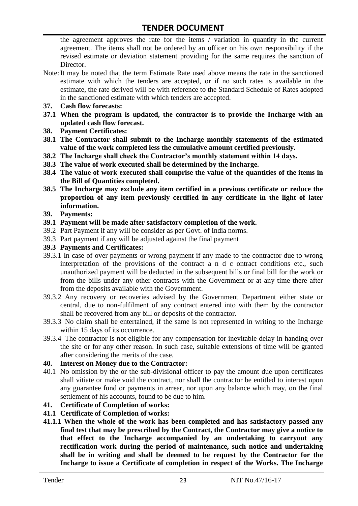the agreement approves the rate for the items / variation in quantity in the current agreement. The items shall not be ordered by an officer on his own responsibility if the revised estimate or deviation statement providing for the same requires the sanction of Director.

- Note:It may be noted that the term Estimate Rate used above means the rate in the sanctioned estimate with which the tenders are accepted, or if no such rates is available in the estimate, the rate derived will be with reference to the Standard Schedule of Rates adopted in the sanctioned estimate with which tenders are accepted.
- **37. Cash flow forecasts:**
- **37.1 When the program is updated, the contractor is to provide the Incharge with an updated cash flow forecast.**
- **38. Payment Certificates:**
- **38.1 The Contractor shall submit to the Incharge monthly statements of the estimated value of the work completed less the cumulative amount certified previously.**
- **38.2 The Incharge shall check the Contractor's monthly statement within 14 days.**
- **38.3 The value of work executed shall be determined by the Incharge.**
- **38.4 The value of work executed shall comprise the value of the quantities of the items in the Bill of Quantities completed.**
- **38.5 The Incharge may exclude any item certified in a previous certificate or reduce the proportion of any item previously certified in any certificate in the light of later information.**
- **39. Payments:**
- **39.1 Payment will be made after satisfactory completion of the work.**
- 39.2 Part Payment if any will be consider as per Govt. of India norms.
- 39.3 Part payment if any will be adjusted against the final payment
- **39.3 Payments and Certificates:**
- 39.3.1 In case of over payments or wrong payment if any made to the contractor due to wrong interpretation of the provisions of the contract a n d c ontract conditions etc., such unauthorized payment will be deducted in the subsequent bills or final bill for the work or from the bills under any other contracts with the Government or at any time there after from the deposits available with the Government.
- 39.3.2 Any recovery or recoveries advised by the Government Department either state or central, due to non-fulfilment of any contract entered into with them by the contractor shall be recovered from any bill or deposits of the contractor.
- 39.3.3 No claim shall be entertained, if the same is not represented in writing to the Incharge within 15 days of its occurrence.
- 39.3.4 The contractor is not eligible for any compensation for inevitable delay in handing over the site or for any other reason. In such case, suitable extensions of time will be granted after considering the merits of the case.

#### **40. Interest on Money due to the Contractor:**

- 40.1 No omission by the or the sub-divisional officer to pay the amount due upon certificates shall vitiate or make void the contract, nor shall the contractor be entitled to interest upon any guarantee fund or payments in arrear, nor upon any balance which may, on the final settlement of his accounts, found to be due to him.
- **41. Certificate of Completion of works:**
- **41.1 Certificate of Completion of works:**
- **41.1.1 When the whole of the work has been completed and has satisfactory passed any final test that may be prescribed by the Contract, the Contractor may give a notice to that effect to the Incharge accompanied by an undertaking to carryout any rectification work during the period of maintenance, such notice and undertaking shall be in writing and shall be deemed to be request by the Contractor for the Incharge to issue a Certificate of completion in respect of the Works. The Incharge**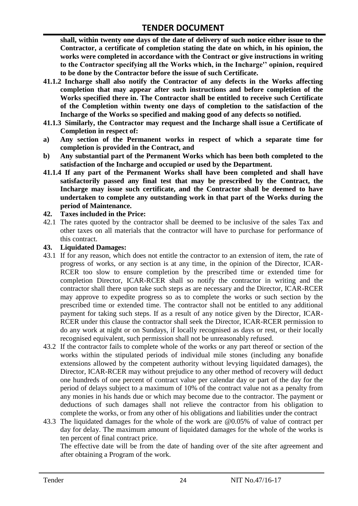**shall, within twenty one days of the date of delivery of such notice either issue to the Contractor, a certificate of completion stating the date on which, in his opinion, the works were completed in accordance with the Contract or give instructions in writing to the Contractor specifying all the Works which, in the Incharge'' opinion, required to be done by the Contractor before the issue of such Certificate.**

- **41.1.2 Incharge shall also notify the Contractor of any defects in the Works affecting completion that may appear after such instructions and before completion of the Works specified there in. The Contractor shall be entitled to receive such Certificate of the Completion within twenty one days of completion to the satisfaction of the Incharge of the Works so specified and making good of any defects so notified.**
- **41.1.3 Similarly, the Contractor may request and the Incharge shall issue a Certificate of Completion in respect of:**
- **a) Any section of the Permanent works in respect of which a separate time for completion is provided in the Contract, and**
- **b) Any substantial part of the Permanent Works which has been both completed to the satisfaction of the Incharge and occupied or used by the Department.**
- **41.1.4 If any part of the Permanent Works shall have been completed and shall have satisfactorily passed any final test that may be prescribed by the Contract, the Incharge may issue such certificate, and the Contractor shall be deemed to have undertaken to complete any outstanding work in that part of the Works during the period of Maintenance.**

#### **42. Taxes included in the Price:**

42.1 The rates quoted by the contractor shall be deemed to be inclusive of the sales Tax and other taxes on all materials that the contractor will have to purchase for performance of this contract.

#### **43. Liquidated Damages:**

- 43.1 If for any reason, which does not entitle the contractor to an extension of item, the rate of progress of works, or any section is at any time, in the opinion of the Director, ICAR-RCER too slow to ensure completion by the prescribed time or extended time for completion Director, ICAR-RCER shall so notify the contractor in writing and the contractor shall there upon take such steps as are necessary and the Director, ICAR-RCER may approve to expedite progress so as to complete the works or such section by the prescribed time or extended time. The contractor shall not be entitled to any additional payment for taking such steps. If as a result of any notice given by the Director, ICAR-RCER under this clause the contractor shall seek the Director, ICAR-RCER permission to do any work at night or on Sundays, if locally recognised as days or rest, or their locally recognised equivalent, such permission shall not be unreasonably refused.
- 43.2 If the contractor fails to complete whole of the works or any part thereof or section of the works within the stipulated periods of individual mile stones (including any bonafide extensions allowed by the competent authority without levying liquidated damages), the Director, ICAR-RCER may without prejudice to any other method of recovery will deduct one hundreds of one percent of contract value per calendar day or part of the day for the period of delays subject to a maximum of 10% of the contract value not as a penalty from any monies in his hands due or which may become due to the contractor. The payment or deductions of such damages shall not relieve the contractor from his obligation to complete the works, or from any other of his obligations and liabilities under the contract
- 43.3 The liquidated damages for the whole of the work are @0.05% of value of contract per day for delay. The maximum amount of liquidated damages for the whole of the works is ten percent of final contract price.

The effective date will be from the date of handing over of the site after agreement and after obtaining a Program of the work.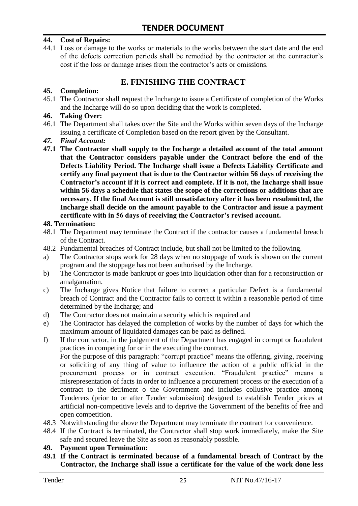#### **44. Cost of Repairs:**

44.1 Loss or damage to the works or materials to the works between the start date and the end of the defects correction periods shall be remedied by the contractor at the contractor"s cost if the loss or damage arises from the contractor's acts or omissions.

# **E. FINISHING THE CONTRACT**

#### **45. Completion:**

45.1 The Contractor shall request the Incharge to issue a Certificate of completion of the Works and the Incharge will do so upon deciding that the work is completed.

#### **46. Taking Over:**

- 46.1 The Department shall takes over the Site and the Works within seven days of the Incharge issuing a certificate of Completion based on the report given by the Consultant.
- *47. Final Account:*
- **47.1 The Contractor shall supply to the Incharge a detailed account of the total amount that the Contractor considers payable under the Contract before the end of the Defects Liability Period. The Incharge shall issue a Defects Liability Certificate and certify any final payment that is due to the Contractor within 56 days of receiving the Contractor's account if it is correct and complete. If it is not, the Incharge shall issue within 56 days a schedule that states the scope of the corrections or additions that are necessary. If the final Account is still unsatisfactory after it has been resubmitted, the Incharge shall decide on the amount payable to the Contractor and issue a payment certificate with in 56 days of receiving the Contractor's revised account.**

#### **48. Termination:**

- 48.1 The Department may terminate the Contract if the contractor causes a fundamental breach of the Contract.
- 48.2 Fundamental breaches of Contract include, but shall not be limited to the following.
- a) The Contractor stops work for 28 days when no stoppage of work is shown on the current program and the stoppage has not been authorised by the Incharge.
- b) The Contractor is made bankrupt or goes into liquidation other than for a reconstruction or amalgamation.
- c) The Incharge gives Notice that failure to correct a particular Defect is a fundamental breach of Contract and the Contractor fails to correct it within a reasonable period of time determined by the Incharge; and
- d) The Contractor does not maintain a security which is required and
- e) The Contractor has delayed the completion of works by the number of days for which the maximum amount of liquidated damages can be paid as defined.
- f) If the contractor, in the judgement of the Department has engaged in corrupt or fraudulent practices in competing for or in the executing the contract.

For the purpose of this paragraph: "corrupt practice" means the offering, giving, receiving or soliciting of any thing of value to influence the action of a public official in the procurement process or in contract execution. "Fraudulent practice" means a misrepresentation of facts in order to influence a procurement process or the execution of a contract to the detriment o the Government and includes collusive practice among Tenderers (prior to or after Tender submission) designed to establish Tender prices at artificial non-competitive levels and to deprive the Government of the benefits of free and open competition.

- 48.3 Notwithstanding the above the Department may terminate the contract for convenience.
- 48.4 If the Contract is terminated, the Contractor shall stop work immediately, make the Site safe and secured leave the Site as soon as reasonably possible.

#### **49. Payment upon Termination:**

**49.1 If the Contract is terminated because of a fundamental breach of Contract by the Contractor, the Incharge shall issue a certificate for the value of the work done less**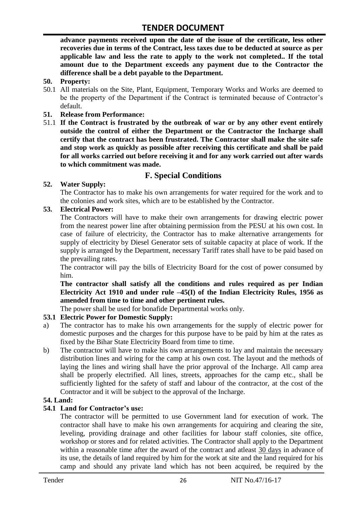**advance payments received upon the date of the issue of the certificate, less other recoveries due in terms of the Contract, less taxes due to be deducted at source as per applicable law and less the rate to apply to the work not completed.. If the total amount due to the Department exceeds any payment due to the Contractor the difference shall be a debt payable to the Department.**

- **50. Property:**
- 50.1 All materials on the Site, Plant, Equipment, Temporary Works and Works are deemed to be the property of the Department if the Contract is terminated because of Contractor's default.
- **51. Release from Performance:**
- 51.1 **If the Contract is frustrated by the outbreak of war or by any other event entirely outside the control of either the Department or the Contractor the Incharge shall certify that the contract has been frustrated. The Contractor shall make the site safe and stop work as quickly as possible after receiving this certificate and shall be paid for all works carried out before receiving it and for any work carried out after wards to which commitment was made.**

# **F. Special Conditions**

#### **52. Water Supply:**

The Contractor has to make his own arrangements for water required for the work and to the colonies and work sites, which are to be established by the Contractor.

#### **53. Electrical Power:**

The Contractors will have to make their own arrangements for drawing electric power from the nearest power line after obtaining permission from the PESU at his own cost. In case of failure of electricity, the Contractor has to make alternative arrangements for supply of electricity by Diesel Generator sets of suitable capacity at place of work. If the supply is arranged by the Department, necessary Tariff rates shall have to be paid based on the prevailing rates.

The contractor will pay the bills of Electricity Board for the cost of power consumed by him.

**The contractor shall satisfy all the conditions and rules required as per Indian Electricity Act 1910 and under rule –45(I) of the Indian Electricity Rules, 1956 as amended from time to time and other pertinent rules.**

The power shall be used for bonafide Departmental works only.

# **53.1 Electric Power for Domestic Supply:**

- a) The contractor has to make his own arrangements for the supply of electric power for domestic purposes and the charges for this purpose have to be paid by him at the rates as fixed by the Bihar State Electricity Board from time to time.
- b) The contractor will have to make his own arrangements to lay and maintain the necessary distribution lines and wiring for the camp at his own cost. The layout and the methods of laying the lines and wiring shall have the prior approval of the Incharge. All camp area shall be properly electrified. All lines, streets, approaches for the camp etc., shall be sufficiently lighted for the safety of staff and labour of the contractor, at the cost of the Contractor and it will be subject to the approval of the Incharge.

# **54. Land:**

#### **54.1 Land for Contractor's use:**

The contractor will be permitted to use Government land for execution of work. The contractor shall have to make his own arrangements for acquiring and clearing the site, leveling, providing drainage and other facilities for labour staff colonies, site office, workshop or stores and for related activities. The Contractor shall apply to the Department within a reasonable time after the award of the contract and atleast 30 days in advance of its use, the details of land required by him for the work at site and the land required for his camp and should any private land which has not been acquired, be required by the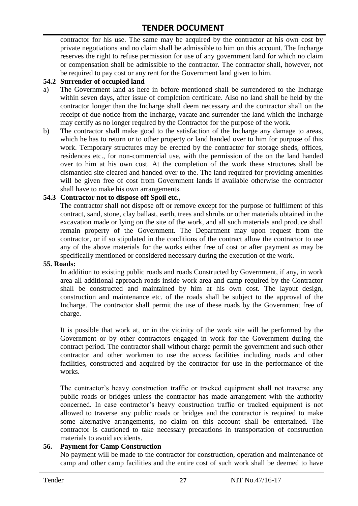contractor for his use. The same may be acquired by the contractor at his own cost by private negotiations and no claim shall be admissible to him on this account. The Incharge reserves the right to refuse permission for use of any government land for which no claim or compensation shall be admissible to the contractor. The contractor shall, however, not be required to pay cost or any rent for the Government land given to him.

#### **54.2 Surrender of occupied land**

- a) The Government land as here in before mentioned shall be surrendered to the Incharge within seven days, after issue of completion certificate. Also no land shall be held by the contractor longer than the Incharge shall deem necessary and the contractor shall on the receipt of due notice from the Incharge, vacate and surrender the land which the Incharge may certify as no longer required by the Contractor for the purpose of the work.
- b) The contractor shall make good to the satisfaction of the Incharge any damage to areas, which he has to return or to other property or land handed over to him for purpose of this work. Temporary structures may be erected by the contractor for storage sheds, offices, residences etc., for non-commercial use, with the permission of the on the land handed over to him at his own cost. At the completion of the work these structures shall be dismantled site cleared and handed over to the. The land required for providing amenities will be given free of cost from Government lands if available otherwise the contractor shall have to make his own arrangements.

#### **54.3 Contractor not to dispose off Spoil etc.,**

The contractor shall not dispose off or remove except for the purpose of fulfilment of this contract, sand, stone, clay ballast, earth, trees and shrubs or other materials obtained in the excavation made or lying on the site of the work, and all such materials and produce shall remain property of the Government. The Department may upon request from the contractor, or if so stipulated in the conditions of the contract allow the contractor to use any of the above materials for the works either free of cost or after payment as may be specifically mentioned or considered necessary during the execution of the work.

#### **55. Roads:**

In addition to existing public roads and roads Constructed by Government, if any, in work area all additional approach roads inside work area and camp required by the Contractor shall be constructed and maintained by him at his own cost. The layout design, construction and maintenance etc. of the roads shall be subject to the approval of the Incharge. The contractor shall permit the use of these roads by the Government free of charge.

It is possible that work at, or in the vicinity of the work site will be performed by the Government or by other contractors engaged in work for the Government during the contract period. The contractor shall without charge permit the government and such other contractor and other workmen to use the access facilities including roads and other facilities, constructed and acquired by the contractor for use in the performance of the works.

The contractor's heavy construction traffic or tracked equipment shall not traverse any public roads or bridges unless the contractor has made arrangement with the authority concerned. In case contractor"s heavy construction traffic or tracked equipment is not allowed to traverse any public roads or bridges and the contractor is required to make some alternative arrangements, no claim on this account shall be entertained. The contractor is cautioned to take necessary precautions in transportation of construction materials to avoid accidents.

#### **56. Payment for Camp Construction**

No payment will be made to the contractor for construction, operation and maintenance of camp and other camp facilities and the entire cost of such work shall be deemed to have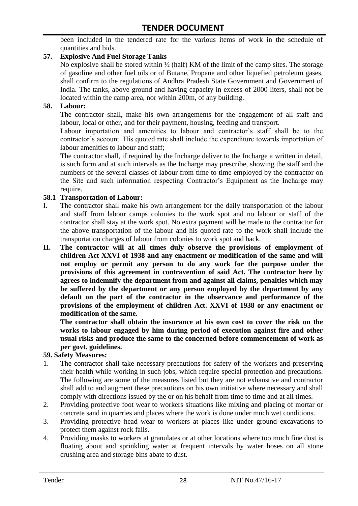been included in the tendered rate for the various items of work in the schedule of quantities and bids.

### **57. Explosive And Fuel Storage Tanks**

No explosive shall be stored within ½ (half) KM of the limit of the camp sites. The storage of gasoline and other fuel oils or of Butane, Propane and other liquefied petroleum gases, shall confirm to the regulations of Andhra Pradesh State Government and Government of India. The tanks, above ground and having capacity in excess of 2000 liters, shall not be located within the camp area, nor within 200m, of any building.

#### **58. Labour:**

The contractor shall, make his own arrangements for the engagement of all staff and labour, local or other, and for their payment, housing, feeding and transport.

Labour importation and amenities to labour and contractor's staff shall be to the contractor's account. His quoted rate shall include the expenditure towards importation of labour amenities to labour and staff;

The contractor shall, if required by the Incharge deliver to the Incharge a written in detail, is such form and at such intervals as the Incharge may prescribe, showing the staff and the numbers of the several classes of labour from time to time employed by the contractor on the Site and such information respecting Contractor"s Equipment as the Incharge may require.

#### **58.1 Transportation of Labour:**

- I. The contractor shall make his own arrangement for the daily transportation of the labour and staff from labour camps colonies to the work spot and no labour or staff of the contractor shall stay at the work spot. No extra payment will be made to the contractor for the above transportation of the labour and his quoted rate to the work shall include the transportation charges of labour from colonies to work spot and back.
- **II. The contractor will at all times duly observe the provisions of employment of children Act XXVI of 1938 and any enactment or modification of the same and will not employ or permit any person to do any work for the purpose under the provisions of this agreement in contravention of said Act. The contractor here by agrees to indemnify the department from and against all claims, penalties which may be suffered by the department or any person employed by the department by any default on the part of the contractor in the observance and performance of the provisions of the employment of children Act. XXVI of 1938 or any enactment or modification of the same.**

**The contractor shall obtain the insurance at his own cost to cover the risk on the works to labour engaged by him during period of execution against fire and other usual risks and produce the same to the concerned before commencement of work as per govt. guidelines.**

#### **59. Safety Measures:**

- 1. The contractor shall take necessary precautions for safety of the workers and preserving their health while working in such jobs, which require special protection and precautions. The following are some of the measures listed but they are not exhaustive and contractor shall add to and augment these precautions on his own initiative where necessary and shall comply with directions issued by the or on his behalf from time to time and at all times.
- 2. Providing protective foot wear to workers situations like mixing and placing of mortar or concrete sand in quarries and places where the work is done under much wet conditions.
- 3. Providing protective head wear to workers at places like under ground excavations to protect them against rock falls.
- 4. Providing masks to workers at granulates or at other locations where too much fine dust is floating about and sprinkling water at frequent intervals by water hoses on all stone crushing area and storage bins abate to dust.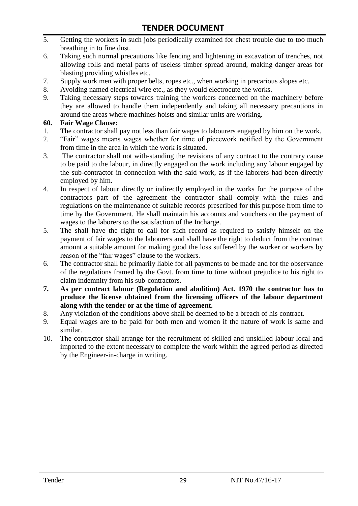- 5. Getting the workers in such jobs periodically examined for chest trouble due to too much breathing in to fine dust.
- 6. Taking such normal precautions like fencing and lightening in excavation of trenches, not allowing rolls and metal parts of useless timber spread around, making danger areas for blasting providing whistles etc.
- 7. Supply work men with proper belts, ropes etc., when working in precarious slopes etc.
- 8. Avoiding named electrical wire etc., as they would electrocute the works.
- 9. Taking necessary steps towards training the workers concerned on the machinery before they are allowed to handle them independently and taking all necessary precautions in around the areas where machines hoists and similar units are working.

#### **60. Fair Wage Clause:**

- 1. The contractor shall pay not less than fair wages to labourers engaged by him on the work.
- 2. "Fair" wages means wages whether for time of piecework notified by the Government from time in the area in which the work is situated.
- 3. The contractor shall not with-standing the revisions of any contract to the contrary cause to be paid to the labour, in directly engaged on the work including any labour engaged by the sub-contractor in connection with the said work, as if the laborers had been directly employed by him.
- 4. In respect of labour directly or indirectly employed in the works for the purpose of the contractors part of the agreement the contractor shall comply with the rules and regulations on the maintenance of suitable records prescribed for this purpose from time to time by the Government. He shall maintain his accounts and vouchers on the payment of wages to the laborers to the satisfaction of the Incharge.
- 5. The shall have the right to call for such record as required to satisfy himself on the payment of fair wages to the labourers and shall have the right to deduct from the contract amount a suitable amount for making good the loss suffered by the worker or workers by reason of the "fair wages" clause to the workers.
- 6. The contractor shall be primarily liable for all payments to be made and for the observance of the regulations framed by the Govt. from time to time without prejudice to his right to claim indemnity from his sub-contractors.
- **7. As per contract labour (Regulation and abolition) Act. 1970 the contractor has to produce the license obtained from the licensing officers of the labour department along with the tender or at the time of agreement.**
- 8. Any violation of the conditions above shall be deemed to be a breach of his contract.
- 9. Equal wages are to be paid for both men and women if the nature of work is same and similar.
- 10. The contractor shall arrange for the recruitment of skilled and unskilled labour local and imported to the extent necessary to complete the work within the agreed period as directed by the Engineer-in-charge in writing.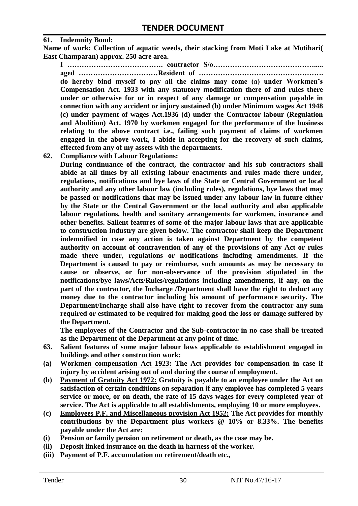#### **61. Indemnity Bond:**

**Name of work: Collection of aquatic weeds, their stacking from Moti Lake at Motihari( East Champaran) approx. 250 acre area.**

**I …………………………………. contractor S/o……………………………………..... aged ……………………………Resident of ……………………………………………. do hereby bind myself to pay all the claims may come (a) under Workmen's Compensation Act. 1933 with any statutory modification there of and rules there under or otherwise for or in respect of any damage or compensation payable in connection with any accident or injury sustained (b) under Minimum wages Act 1948 (c) under payment of wages Act.1936 (d) under the Contractor labour (Regulation and Abolition) Act. 1970 by workmen engaged for the performance of the business relating to the above contract i.e., failing such payment of claims of workmen engaged in the above work, I abide in accepting for the recovery of such claims, effected from any of my assets with the departments.**

**62. Compliance with Labour Regulations:**

**During continuance of the contract, the contractor and his sub contractors shall abide at all times by all existing labour enactments and rules made there under, regulations, notifications and bye laws of the State or Central Government or local authority and any other labour law (including rules), regulations, bye laws that may be passed or notifications that may be issued under any labour law in future either by the State or the Central Government or the local authority and also applicable labour regulations, health and sanitary arrangements for workmen, insurance and other benefits. Salient features of some of the major labour laws that are applicable to construction industry are given below. The contractor shall keep the Department indemnified in case any action is taken against Department by the competent authority on account of contravention of any of the provisions of any Act or rules made there under, regulations or notifications including amendments. If the Department is caused to pay or reimburse, such amounts as may be necessary to cause or observe, or for non-observance of the provision stipulated in the notifications/bye laws/Acts/Rules/regulations including amendments, if any, on the part of the contractor, the Incharge /Department shall have the right to deduct any money due to the contractor including his amount of performance security. The Department/Incharge shall also have right to recover from the contractor any sum required or estimated to be required for making good the loss or damage suffered by the Department.**

**The employees of the Contractor and the Sub-contractor in no case shall be treated as the Department of the Department at any point of time.**

- **63. Salient features of some major labour laws applicable to establishment engaged in buildings and other construction work:**
- **(a) Workmen compensation Act 1923: The Act provides for compensation in case if injury by accident arising out of and during the course of employment.**
- **(b) Payment of Gratuity Act 1972: Gratuity is payable to an employee under the Act on satisfaction of certain conditions on separation if any employee has completed 5 years service or more, or on death, the rate of 15 days wages for every completed year of service. The Act is applicable to all establishments, employing 10 or more employees.**
- **(c) Employees P.F. and Miscellaneous provision Act 1952: The Act provides for monthly contributions by the Department plus workers @ 10% or 8.33%. The benefits payable under the Act are:**
- **(i) Pension or family pension on retirement or death, as the case may be.**
- **(ii) Deposit linked insurance on the death in harness of the worker.**
- **(iii) Payment of P.F. accumulation on retirement/death etc.,**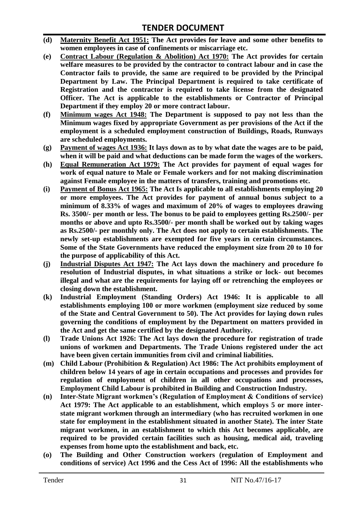- **(d) Maternity Benefit Act 1951: The Act provides for leave and some other benefits to women employees in case of confinements or miscarriage etc.**
- **(e) Contract Labour (Regulation & Abolition) Act 1970: The Act provides for certain welfare measures to be provided by the contractor to contract labour and in case the Contractor fails to provide, the same are required to be provided by the Principal Department by Law. The Principal Department is required to take certificate of Registration and the contractor is required to take license from the designated Officer. The Act is applicable to the establishments or Contractor of Principal Department if they employ 20 or more contract labour.**
- **(f) Minimum wages Act 1948: The Department is supposed to pay not less than the Minimum wages fixed by appropriate Government as per provisions of the Act if the employment is a scheduled employment construction of Buildings, Roads, Runways are scheduled employments.**
- **(g) Payment of wages Act 1936: It lays down as to by what date the wages are to be paid, when it will be paid and what deductions can be made form the wages of the workers.**
- **(h) Equal Remuneration Act 1979: The Act provides for payment of equal wages for work of equal nature to Male or Female workers and for not making discrimination against Female employee in the matters of transfers, training and promotions etc.**
- **(i) Payment of Bonus Act 1965: The Act Is applicable to all establishments employing 20 or more employees. The Act provides for payment of annual bonus subject to a minimum of 8.33% of wages and maximum of 20% of wages to employees drawing Rs. 3500/- per month or less. The bonus to be paid to employees getting Rs.2500/- per months or above and upto Rs.3500/- per month shall be worked out by taking wages as Rs.2500/- per monthly only. The Act does not apply to certain establishments. The newly set-up establishments are exempted for five years in certain circumstances. Some of the State Governments have reduced the employment size from 20 to 10 for the purpose of applicability of this Act.**
- **(j) Industrial Disputes Act 1947: The Act lays down the machinery and procedure fo resolution of Industrial disputes, in what situations a strike or lock- out becomes illegal and what are the requirements for laying off or retrenching the employees or closing down the establishment.**
- **(k) Industrial Employment (Standing Orders) Act 1946: It is applicable to all establishments employing 100 or more workmen (employment size reduced by some of the State and Central Government to 50). The Act provides for laying down rules governing the conditions of employment by the Department on matters provided in the Act and get the same certified by the designated Authority.**
- **(l) Trade Unions Act 1926: The Act lays down the procedure for registration of trade unions of workmen and Departments. The Trade Unions registered under the act have been given certain immunities from civil and criminal liabilities.**
- **(m) Child Labour (Prohibition & Regulation) Act 1986: The Act prohibits employment of children below 14 years of age in certain occupations and processes and provides for regulation of employment of children in all other occupations and processes, Employment Child Labour is prohibited in Building and Construction Industry.**
- **(n) Inter-State Migrant workmen's (Regulation of Employment & Conditions of service) Act 1979: The Act applicable to an establishment, which employs 5 or more interstate migrant workmen through an intermediary (who has recruited workmen in one state for employment in the establishment situated in another State). The inter State migrant workmen, in an establishment to which this Act becomes applicable, are required to be provided certain facilities such as housing, medical aid, traveling expenses from home upto the establishment and back, etc.**
- **(o) The Building and Other Construction workers (regulation of Employment and conditions of service) Act 1996 and the Cess Act of 1996: All the establishments who**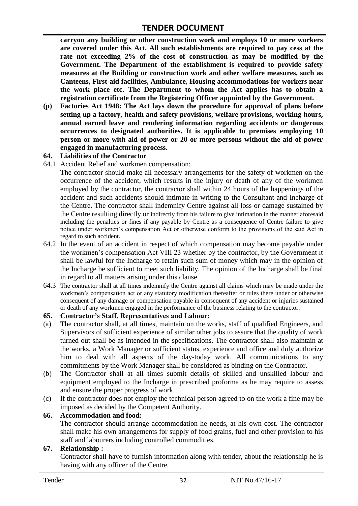**carryon any building or other construction work and employs 10 or more workers are covered under this Act. All such establishments are required to pay cess at the rate not exceeding 2% of the cost of construction as may be modified by the Government. The Department of the establishment is required to provide safety measures at the Building or construction work and other welfare measures, such as Canteens, First-aid facilities, Ambulance, Housing accommodations for workers near the work place etc. The Department to whom the Act applies has to obtain a registration certificate from the Registering Officer appointed by the Government.**

**(p) Factories Act 1948: The Act lays down the procedure for approval of plans before setting up a factory, health and safety provisions, welfare provisions, working hours, annual earned leave and rendering information regarding accidents or dangerous occurrences to designated authorities. It is applicable to premises employing 10 person or more with aid of power or 20 or more persons without the aid of power engaged in manufacturing process.**

#### **64. Liabilities of the Contractor**

64.1 Accident Relief and workmen compensation:

The contractor should make all necessary arrangements for the safety of workmen on the occurrence of the accident, which results in the injury or death of any of the workmen employed by the contractor, the contractor shall within 24 hours of the happenings of the accident and such accidents should intimate in writing to the Consultant and Incharge of the Centre. The contractor shall indemnify Centre against all loss or damage sustained by the Centre resulting directly or indirectly from his failure to give intimation in the manner aforesaid including the penalties or fines if any payable by Centre as a consequence of Centre failure to give notice under workmen"s compensation Act or otherwise conform to the provisions of the said Act in regard to such accident.

- 64.2 In the event of an accident in respect of which compensation may become payable under the workmen"s compensation Act VIII 23 whether by the contractor, by the Government it shall be lawful for the Incharge to retain such sum of money which may in the opinion of the Incharge be sufficient to meet such liability. The opinion of the Incharge shall be final in regard to all matters arising under this clause.
- 64.3 The contractor shall at all times indemnify the Centre against all claims which may be made under the workmen"s compensation act or any statutory modification thereafter or rules there under or otherwise consequent of any damage or compensation payable in consequent of any accident or injuries sustained or death of any workmen engaged in the performance of the business relating to the contractor.

#### **65. Contractor's Staff, Representatives and Labour:**

- (a) The contractor shall, at all times, maintain on the works, staff of qualified Engineers, and Supervisors of sufficient experience of similar other jobs to assure that the quality of work turned out shall be as intended in the specifications. The contractor shall also maintain at the works, a Work Manager or sufficient status, experience and office and duly authorize him to deal with all aspects of the day-today work. All communications to any commitments by the Work Manager shall be considered as binding on the Contractor.
- (b) The Contractor shall at all times submit details of skilled and unskilled labour and equipment employed to the Incharge in prescribed proforma as he may require to assess and ensure the proper progress of work.
- (c) If the contractor does not employ the technical person agreed to on the work a fine may be imposed as decided by the Competent Authority.

#### **66. Accommodation and food:**

The contractor should arrange accommodation he needs, at his own cost. The contractor shall make his own arrangements for supply of food grains, fuel and other provision to his staff and labourers including controlled commodities.

#### **67. Relationship :**

Contractor shall have to furnish information along with tender, about the relationship he is having with any officer of the Centre.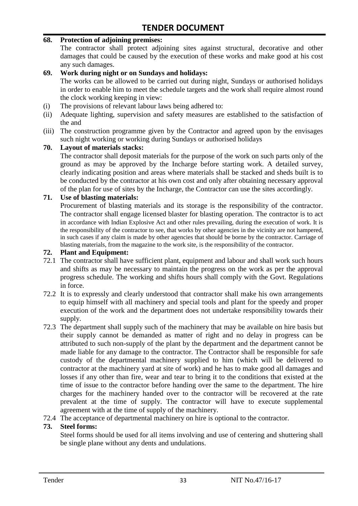#### **68. Protection of adjoining premises:**

The contractor shall protect adjoining sites against structural, decorative and other damages that could be caused by the execution of these works and make good at his cost any such damages.

#### **69. Work during night or on Sundays and holidays:**

The works can be allowed to be carried out during night, Sundays or authorised holidays in order to enable him to meet the schedule targets and the work shall require almost round the clock working keeping in view:

- (i) The provisions of relevant labour laws being adhered to:
- (ii) Adequate lighting, supervision and safety measures are established to the satisfaction of the and
- (iii) The construction programme given by the Contractor and agreed upon by the envisages such night working or working during Sundays or authorised holidays

#### **70. Layout of materials stacks:**

The contractor shall deposit materials for the purpose of the work on such parts only of the ground as may be approved by the Incharge before starting work. A detailed survey, clearly indicating position and areas where materials shall be stacked and sheds built is to be conducted by the contractor at his own cost and only after obtaining necessary approval of the plan for use of sites by the Incharge, the Contractor can use the sites accordingly.

#### **71. Use of blasting materials:**

Procurement of blasting materials and its storage is the responsibility of the contractor. The contractor shall engage licensed blaster for blasting operation. The contractor is to act in accordance with Indian Explosive Act and other rules prevailing, during the execution of work. It is the responsibility of the contractor to see, that works by other agencies in the vicinity are not hampered, in such cases if any claim is made by other agencies that should be borne by the contractor. Carriage of blasting materials, from the magazine to the work site, is the responsibility of the contractor.

#### **72. Plant and Equipment:**

- 72.1 The contractor shall have sufficient plant, equipment and labour and shall work such hours and shifts as may be necessary to maintain the progress on the work as per the approval progress schedule. The working and shifts hours shall comply with the Govt. Regulations in force.
- 72.2 It is to expressly and clearly understood that contractor shall make his own arrangements to equip himself with all machinery and special tools and plant for the speedy and proper execution of the work and the department does not undertake responsibility towards their supply.
- 72.3 The department shall supply such of the machinery that may be available on hire basis but their supply cannot be demanded as matter of right and no delay in progress can be attributed to such non-supply of the plant by the department and the department cannot be made liable for any damage to the contractor. The Contractor shall be responsible for safe custody of the departmental machinery supplied to him (which will be delivered to contractor at the machinery yard at site of work) and he has to make good all damages and losses if any other than fire, wear and tear to bring it to the conditions that existed at the time of issue to the contractor before handing over the same to the department. The hire charges for the machinery handed over to the contractor will be recovered at the rate prevalent at the time of supply. The contractor will have to execute supplemental agreement with at the time of supply of the machinery.
- 72.4 The acceptance of departmental machinery on hire is optional to the contractor.

#### **73. Steel forms:**

Steel forms should be used for all items involving and use of centering and shuttering shall be single plane without any dents and undulations.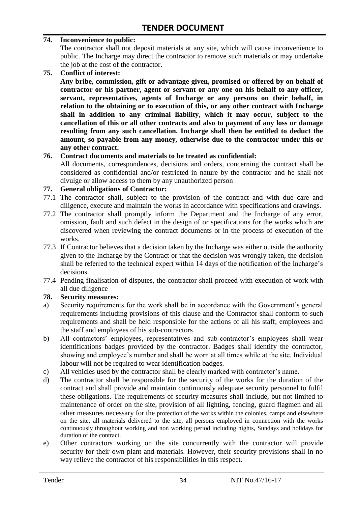#### **74. Inconvenience to public:**

The contractor shall not deposit materials at any site, which will cause inconvenience to public. The Incharge may direct the contractor to remove such materials or may undertake the job at the cost of the contractor.

**75. Conflict of interest:**

**Any bribe, commission, gift or advantage given, promised or offered by on behalf of contractor or his partner, agent or servant or any one on his behalf to any officer, servant, representatives, agents of Incharge or any persons on their behalf, in relation to the obtaining or to execution of this, or any other contract with Incharge shall in addition to any criminal liability, which it may occur, subject to the cancellation of this or all other contracts and also to payment of any loss or damage resulting from any such cancellation. Incharge shall then be entitled to deduct the amount, so payable from any money, otherwise due to the contractor under this or any other contract.**

#### **76. Contract documents and materials to be treated as confidential:**

All documents, correspondences, decisions and orders, concerning the contract shall be considered as confidential and/or restricted in nature by the contractor and he shall not divulge or allow access to them by any unauthorized person

#### **77. General obligations of Contractor:**

- 77.1 The contractor shall, subject to the provision of the contract and with due care and diligence, execute and maintain the works in accordance with specifications and drawings.
- 77.2 The contractor shall promptly inform the Department and the Incharge of any error, omission, fault and such defect in the design of or specifications for the works which are discovered when reviewing the contract documents or in the process of execution of the works.
- 77.3 If Contractor believes that a decision taken by the Incharge was either outside the authority given to the Incharge by the Contract or that the decision was wrongly taken, the decision shall be referred to the technical expert within 14 days of the notification of the Incharge's decisions.
- 77.4 Pending finalisation of disputes, the contractor shall proceed with execution of work with all due diligence

#### **78. Security measures:**

- a) Security requirements for the work shall be in accordance with the Government's general requirements including provisions of this clause and the Contractor shall conform to such requirements and shall be held responsible for the actions of all his staff, employees and the staff and employees of his sub-contractors
- b) All contractors' employees, representatives and sub-contractor's employees shall wear identifications badges provided by the contractor. Badges shall identify the contractor, showing and employee's number and shall be worn at all times while at the site. Individual labour will not be required to wear identification badges.
- c) All vehicles used by the contractor shall be clearly marked with contractor"s name.
- d) The contractor shall be responsible for the security of the works for the duration of the contract and shall provide and maintain continuously adequate security personnel to fulfil these obligations. The requirements of security measures shall include, but not limited to maintenance of order on the site, provision of all lighting, fencing, guard flagmen and all other measures necessary for the protection of the works within the colonies, camps and elsewhere on the site, all materials delivered to the site, all persons employed in connection with the works continuously throughout working and non working period including nights, Sundays and holidays for duration of the contract.
- e) Other contractors working on the site concurrently with the contractor will provide security for their own plant and materials. However, their security provisions shall in no way relieve the contractor of his responsibilities in this respect.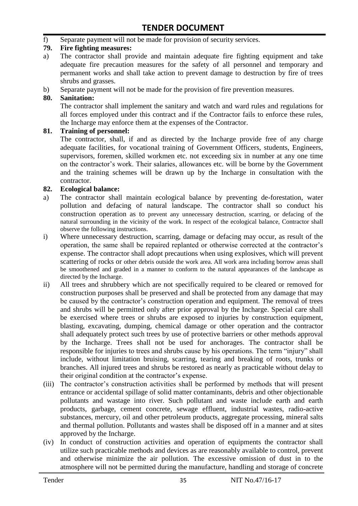f) Separate payment will not be made for provision of security services.

#### **79. Fire fighting measures:**

- a) The contractor shall provide and maintain adequate fire fighting equipment and take adequate fire precaution measures for the safety of all personnel and temporary and permanent works and shall take action to prevent damage to destruction by fire of trees shrubs and grasses.
- b) Separate payment will not be made for the provision of fire prevention measures.

#### **80. Sanitation:**

The contractor shall implement the sanitary and watch and ward rules and regulations for all forces employed under this contract and if the Contractor fails to enforce these rules, the Incharge may enforce them at the expenses of the Contractor.

#### **81. Training of personnel:**

The contractor, shall, if and as directed by the Incharge provide free of any charge adequate facilities, for vocational training of Government Officers, students, Engineers, supervisors, foremen, skilled workmen etc. not exceeding six in number at any one time on the contractor"s work. Their salaries, allowances etc. will be borne by the Government and the training schemes will be drawn up by the Incharge in consultation with the contractor.

#### **82. Ecological balance:**

- a) The contractor shall maintain ecological balance by preventing de-forestation, water pollution and defacing of natural landscape. The contractor shall so conduct his construction operation as to prevent any unnecessary destruction, scarring, or defacing of the natural surrounding in the vicinity of the work. In respect of the ecological balance, Contractor shall observe the following instructions.
- i) Where unnecessary destruction, scarring, damage or defacing may occur, as result of the operation, the same shall be repaired replanted or otherwise corrected at the contractor"s expense. The contractor shall adopt precautions when using explosives, which will prevent scattering of rocks or other debris outside the work area. All work area including borrow areas shall be smoothened and graded in a manner to conform to the natural appearances of the landscape as directed by the Incharge.
- ii) All trees and shrubbery which are not specifically required to be cleared or removed for construction purposes shall be preserved and shall be protected from any damage that may be caused by the contractor's construction operation and equipment. The removal of trees and shrubs will be permitted only after prior approval by the Incharge. Special care shall be exercised where trees or shrubs are exposed to injuries by construction equipment, blasting, excavating, dumping, chemical damage or other operation and the contractor shall adequately protect such trees by use of protective barriers or other methods approval by the Incharge. Trees shall not be used for anchorages. The contractor shall be responsible for injuries to trees and shrubs cause by his operations. The term "injury" shall include, without limitation bruising, scarring, tearing and breaking of roots, trunks or branches. All injured trees and shrubs be restored as nearly as practicable without delay to their original condition at the contractor"s expense.
- (iii) The contractor's construction activities shall be performed by methods that will present entrance or accidental spillage of solid matter contaminants, debris and other objectionable pollutants and wastage into river. Such pollutant and waste include earth and earth products, garbage, cement concrete, sewage effluent, industrial wastes, radio-active substances, mercury, oil and other petroleum products, aggregate processing, mineral salts and thermal pollution. Pollutants and wastes shall be disposed off in a manner and at sites approved by the Incharge.
- (iv) In conduct of construction activities and operation of equipments the contractor shall utilize such practicable methods and devices as are reasonably available to control, prevent and otherwise minimize the air pollution. The excessive omission of dust in to the atmosphere will not be permitted during the manufacture, handling and storage of concrete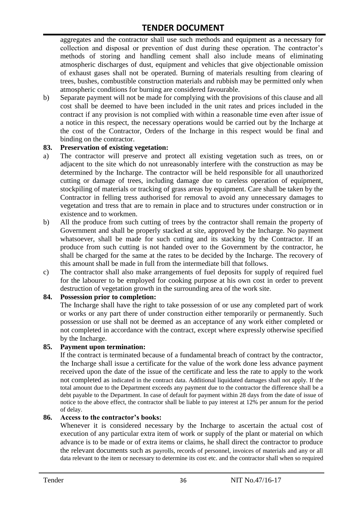aggregates and the contractor shall use such methods and equipment as a necessary for collection and disposal or prevention of dust during these operation. The contractor's methods of storing and handling cement shall also include means of eliminating atmospheric discharges of dust, equipment and vehicles that give objectionable omission of exhaust gases shall not be operated. Burning of materials resulting from clearing of trees, bushes, combustible construction materials and rubbish may be permitted only when atmospheric conditions for burning are considered favourable.

b) Separate payment will not be made for complying with the provisions of this clause and all cost shall be deemed to have been included in the unit rates and prices included in the contract if any provision is not complied with within a reasonable time even after issue of a notice in this respect, the necessary operations would be carried out by the Incharge at the cost of the Contractor, Orders of the Incharge in this respect would be final and binding on the contractor.

#### **83. Preservation of existing vegetation:**

- a) The contractor will preserve and protect all existing vegetation such as trees, on or adjacent to the site which do not unreasonably interfere with the construction as may be determined by the Incharge. The contractor will be held responsible for all unauthorized cutting or damage of trees, including damage due to careless operation of equipment, stockpiling of materials or tracking of grass areas by equipment. Care shall be taken by the Contractor in felling tress authorised for removal to avoid any unnecessary damages to vegetation and tress that are to remain in place and to structures under construction or in existence and to workmen.
- b) All the produce from such cutting of trees by the contractor shall remain the property of Government and shall be properly stacked at site, approved by the Incharge. No payment whatsoever, shall be made for such cutting and its stacking by the Contractor. If an produce from such cutting is not handed over to the Government by the contractor, he shall be charged for the same at the rates to be decided by the Incharge. The recovery of this amount shall be made in full from the intermediate bill that follows.
- c) The contractor shall also make arrangements of fuel deposits for supply of required fuel for the labourer to be employed for cooking purpose at his own cost in order to prevent destruction of vegetation growth in the surrounding area of the work site.

#### **84. Possession prior to completion:**

The Incharge shall have the right to take possession of or use any completed part of work or works or any part there of under construction either temporarily or permanently. Such possession or use shall not be deemed as an acceptance of any work either completed or not completed in accordance with the contract, except where expressly otherwise specified by the Incharge.

#### **85. Payment upon termination:**

If the contract is terminated because of a fundamental breach of contract by the contractor, the Incharge shall issue a certificate for the value of the work done less advance payment received upon the date of the issue of the certificate and less the rate to apply to the work not completed as indicated in the contract data. Additional liquidated damages shall not apply. If the total amount due to the Department exceeds any payment due to the contractor the difference shall be a debt payable to the Department. In case of default for payment within 28 days from the date of issue of notice to the above effect, the contractor shall be liable to pay interest at 12% per annum for the period of delay.

#### **86. Access to the contractor's books:**

Whenever it is considered necessary by the Incharge to ascertain the actual cost of execution of any particular extra item of work or supply of the plant or material on which advance is to be made or of extra items or claims, he shall direct the contractor to produce the relevant documents such as payrolls, records of personnel, invoices of materials and any or all data relevant to the item or necessary to determine its cost etc. and the contractor shall when so required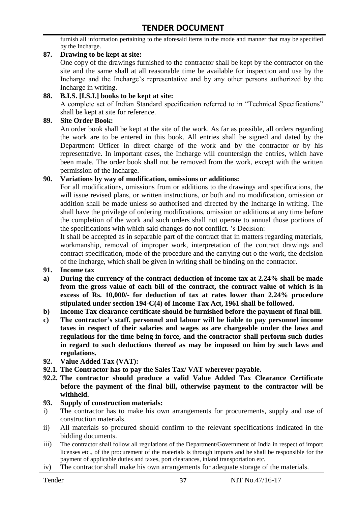furnish all information pertaining to the aforesaid items in the mode and manner that may be specified by the Incharge.

#### **87. Drawing to be kept at site:**

One copy of the drawings furnished to the contractor shall be kept by the contractor on the site and the same shall at all reasonable time be available for inspection and use by the Incharge and the Incharge"s representative and by any other persons authorized by the Incharge in writing.

#### **88. B.I.S. [I.S.I.] books to be kept at site:**

A complete set of Indian Standard specification referred to in "Technical Specifications" shall be kept at site for reference.

#### **89. Site Order Book:**

An order book shall be kept at the site of the work. As far as possible, all orders regarding the work are to be entered in this book. All entries shall be signed and dated by the Department Officer in direct charge of the work and by the contractor or by his representative. In important cases, the Incharge will countersign the entries, which have been made. The order book shall not be removed from the work, except with the written permission of the Incharge.

#### **90. Variations by way of modification, omissions or additions:**

For all modifications, omissions from or additions to the drawings and specifications, the will issue revised plans, or written instructions, or both and no modification, omission or addition shall be made unless so authorised and directed by the Incharge in writing. The shall have the privilege of ordering modifications, omission or additions at any time before the completion of the work and such orders shall not operate to annual those portions of the specifications with which said changes do not conflict. "s Decision:

It shall be accepted as in separable part of the contract that in matters regarding materials, workmanship, removal of improper work, interpretation of the contract drawings and contract specification, mode of the procedure and the carrying out o the work, the decision of the Incharge, which shall be given in writing shall be binding on the contractor.

- **91. Income tax**
- **a) During the currency of the contract deduction of income tax at 2.24% shall be made from the gross value of each bill of the contract, the contract value of which is in excess of Rs. 10,000/- for deduction of tax at rates lower than 2.24% procedure stipulated under section 194-C(4) of Income Tax Act, 1961 shall be followed.**
- **b) Income Tax clearance certificate should be furnished before the payment of final bill.**
- **c) The contractor's staff, personnel and labour will be liable to pay personnel income taxes in respect of their salaries and wages as are chargeable under the laws and regulations for the time being in force, and the contractor shall perform such duties in regard to such deductions thereof as may be imposed on him by such laws and regulations.**
- **92. Value Added Tax (VAT):**
- **92.1. The Contractor has to pay the Sales Tax/ VAT wherever payable.**
- **92.2. The contractor should produce a valid Value Added Tax Clearance Certificate before the payment of the final bill, otherwise payment to the contractor will be withheld.**

#### **93. Supply of construction materials:**

- i) The contractor has to make his own arrangements for procurements, supply and use of construction materials.
- ii) All materials so procured should confirm to the relevant specifications indicated in the bidding documents.
- iii) The contractor shall follow all regulations of the Department/Government of India in respect of import licenses etc., of the procurement of the materials is through imports and he shall be responsible for the payment of applicable duties and taxes, port clearances, inland transportation etc.
- iv) The contractor shall make his own arrangements for adequate storage of the materials.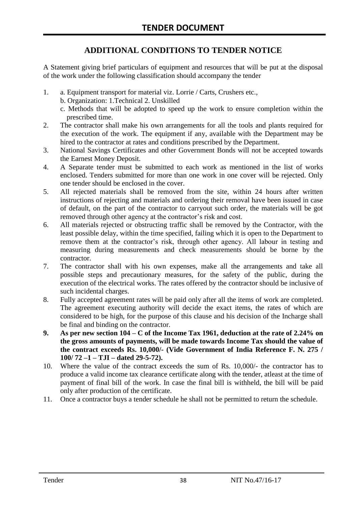# **ADDITIONAL CONDITIONS TO TENDER NOTICE**

A Statement giving brief particulars of equipment and resources that will be put at the disposal of the work under the following classification should accompany the tender

- 1. a. Equipment transport for material viz. Lorrie / Carts, Crushers etc.,
	- b. Organization: 1.Technical 2. Unskilled
	- c. Methods that will be adopted to speed up the work to ensure completion within the prescribed time.
- 2. The contractor shall make his own arrangements for all the tools and plants required for the execution of the work. The equipment if any, available with the Department may be hired to the contractor at rates and conditions prescribed by the Department.
- 3. National Savings Certificates and other Government Bonds will not be accepted towards the Earnest Money Deposit.
- 4. A Separate tender must be submitted to each work as mentioned in the list of works enclosed. Tenders submitted for more than one work in one cover will be rejected. Only one tender should be enclosed in the cover.
- 5. All rejected materials shall be removed from the site, within 24 hours after written instructions of rejecting and materials and ordering their removal have been issued in case of default, on the part of the contractor to carryout such order, the materials will be got removed through other agency at the contractor's risk and cost.
- 6. All materials rejected or obstructing traffic shall be removed by the Contractor, with the least possible delay, within the time specified, failing which it is open to the Department to remove them at the contractor"s risk, through other agency. All labour in testing and measuring during measurements and check measurements should be borne by the contractor.
- 7. The contractor shall with his own expenses, make all the arrangements and take all possible steps and precautionary measures, for the safety of the public, during the execution of the electrical works. The rates offered by the contractor should be inclusive of such incidental charges.
- 8. Fully accepted agreement rates will be paid only after all the items of work are completed. The agreement executing authority will decide the exact items, the rates of which are considered to be high, for the purpose of this clause and his decision of the Incharge shall be final and binding on the contractor.
- **9. As per new section 104 – C of the Income Tax 1961, deduction at the rate of 2.24% on the gross amounts of payments, will be made towards Income Tax should the value of the contract exceeds Rs. 10,000/- (Vide Government of India Reference F. N. 275 / 100/ 72 –1 – TJI – dated 29-5-72).**
- 10. Where the value of the contract exceeds the sum of Rs. 10,000/- the contractor has to produce a valid income tax clearance certificate along with the tender, atleast at the time of payment of final bill of the work. In case the final bill is withheld, the bill will be paid only after production of the certificate.
- 11. Once a contractor buys a tender schedule he shall not be permitted to return the schedule.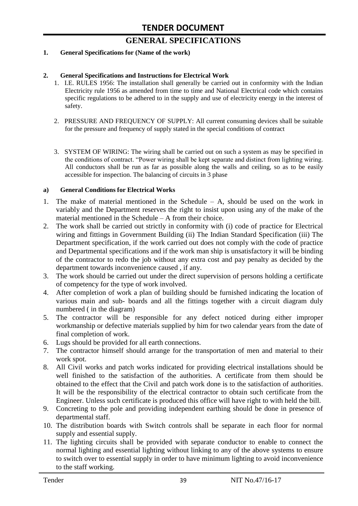# **GENERAL SPECIFICATIONS**

#### **1. General Specifications for (Name of the work)**

#### **2. General Specifications and Instructions for Electrical Work**

- 1. I.E. RULES 1956: The installation shall generally be carried out in conformity with the Indian Electricity rule 1956 as amended from time to time and National Electrical code which contains specific regulations to be adhered to in the supply and use of electricity energy in the interest of safety.
- 2. PRESSURE AND FREQUENCY OF SUPPLY: All current consuming devices shall be suitable for the pressure and frequency of supply stated in the special conditions of contract
- 3. SYSTEM OF WIRING: The wiring shall be carried out on such a system as may be specified in the conditions of contract. "Power wiring shall be kept separate and distinct from lighting wiring. All conductors shall be run as far as possible along the walls and ceiling, so as to be easily accessible for inspection. The balancing of circuits in 3 phase

#### **a) General Conditions for Electrical Works**

- 1. The make of material mentioned in the Schedule A, should be used on the work in variably and the Department reserves the right to insist upon using any of the make of the material mentioned in the Schedule – A from their choice.
- 2. The work shall be carried out strictly in conformity with (i) code of practice for Electrical wiring and fittings in Government Building (ii) The Indian Standard Specification (iii) The Department specification, if the work carried out does not comply with the code of practice and Departmental specifications and if the work man ship is unsatisfactory it will be binding of the contractor to redo the job without any extra cost and pay penalty as decided by the department towards inconvenience caused , if any.
- 3. The work should be carried out under the direct supervision of persons holding a certificate of competency for the type of work involved.
- 4. After completion of work a plan of building should be furnished indicating the location of various main and sub- boards and all the fittings together with a circuit diagram duly numbered ( in the diagram)
- 5. The contractor will be responsible for any defect noticed during either improper workmanship or defective materials supplied by him for two calendar years from the date of final completion of work.
- 6. Lugs should be provided for all earth connections.
- 7. The contractor himself should arrange for the transportation of men and material to their work spot.
- 8. All Civil works and patch works indicated for providing electrical installations should be well finished to the satisfaction of the authorities. A certificate from them should be obtained to the effect that the Civil and patch work done is to the satisfaction of authorities. It will be the responsibility of the electrical contractor to obtain such certificate from the Engineer. Unless such certificate is produced this office will have right to with held the bill.
- 9. Concreting to the pole and providing independent earthing should be done in presence of departmental staff.
- 10. The distribution boards with Switch controls shall be separate in each floor for normal supply and essential supply.
- 11. The lighting circuits shall be provided with separate conductor to enable to connect the normal lighting and essential lighting without linking to any of the above systems to ensure to switch over to essential supply in order to have minimum lighting to avoid inconvenience to the staff working.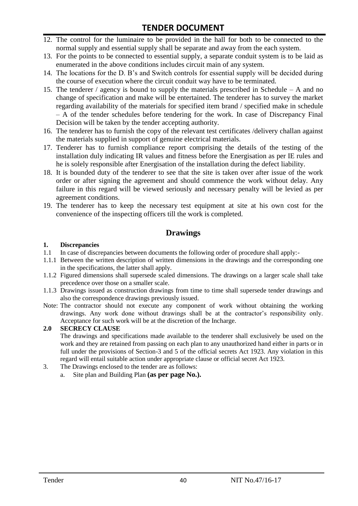- 12. The control for the luminaire to be provided in the hall for both to be connected to the normal supply and essential supply shall be separate and away from the each system.
- 13. For the points to be connected to essential supply, a separate conduit system is to be laid as enumerated in the above conditions includes circuit main of any system.
- 14. The locations for the D. B"s and Switch controls for essential supply will be decided during the course of execution where the circuit conduit way have to be terminated.
- 15. The tenderer / agency is bound to supply the materials prescribed in Schedule A and no change of specification and make will be entertained. The tenderer has to survey the market regarding availability of the materials for specified item brand / specified make in schedule – A of the tender schedules before tendering for the work. In case of Discrepancy Final Decision will be taken by the tender accepting authority.
- 16. The tenderer has to furnish the copy of the relevant test certificates /delivery challan against the materials supplied in support of genuine electrical materials.
- 17. Tenderer has to furnish compliance report comprising the details of the testing of the installation duly indicating IR values and fitness before the Energisation as per IE rules and he is solely responsible after Energisation of the installation during the defect liability.
- 18. It is bounded duty of the tenderer to see that the site is taken over after issue of the work order or after signing the agreement and should commence the work without delay. Any failure in this regard will be viewed seriously and necessary penalty will be levied as per agreement conditions.
- 19. The tenderer has to keep the necessary test equipment at site at his own cost for the convenience of the inspecting officers till the work is completed.

# **Drawings**

#### **1. Discrepancies**

- 1.1 In case of discrepancies between documents the following order of procedure shall apply:-
- 1.1.1 Between the written description of written dimensions in the drawings and the corresponding one in the specifications, the latter shall apply.
- 1.1.2 Figured dimensions shall supersede scaled dimensions. The drawings on a larger scale shall take precedence over those on a smaller scale.
- 1.1.3 Drawings issued as construction drawings from time to time shall supersede tender drawings and also the correspondence drawings previously issued.
- Note: The contractor should not execute any component of work without obtaining the working drawings. Any work done without drawings shall be at the contractor"s responsibility only. Acceptance for such work will be at the discretion of the Incharge.

#### **2.0 SECRECY CLAUSE**

The drawings and specifications made available to the tenderer shall exclusively be used on the work and they are retained from passing on each plan to any unauthorized hand either in parts or in full under the provisions of Section-3 and 5 of the official secrets Act 1923. Any violation in this regard will entail suitable action under appropriate clause or official secret Act 1923.

- 3. The Drawings enclosed to the tender are as follows:
	- a. Site plan and Building Plan **(as per page No.).**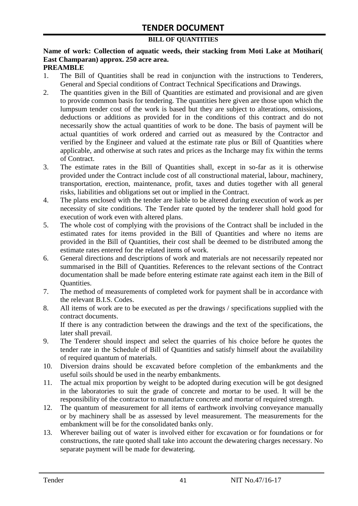#### **BILL OF QUANTITIES**

# **Name of work: Collection of aquatic weeds, their stacking from Moti Lake at Motihari( East Champaran) approx. 250 acre area.**

#### **PREAMBLE**

- 1. The Bill of Quantities shall be read in conjunction with the instructions to Tenderers, General and Special conditions of Contract Technical Specifications and Drawings.
- 2. The quantities given in the Bill of Quantities are estimated and provisional and are given to provide common basis for tendering. The quantities here given are those upon which the lumpsum tender cost of the work is based but they are subject to alterations, omissions, deductions or additions as provided for in the conditions of this contract and do not necessarily show the actual quantities of work to be done. The basis of payment will be actual quantities of work ordered and carried out as measured by the Contractor and verified by the Engineer and valued at the estimate rate plus or Bill of Quantities where applicable, and otherwise at such rates and prices as the Incharge may fix within the terms of Contract.
- 3. The estimate rates in the Bill of Quantities shall, except in so-far as it is otherwise provided under the Contract include cost of all constructional material, labour, machinery, transportation, erection, maintenance, profit, taxes and duties together with all general risks, liabilities and obligations set out or implied in the Contract.
- 4. The plans enclosed with the tender are liable to be altered during execution of work as per necessity of site conditions. The Tender rate quoted by the tenderer shall hold good for execution of work even with altered plans.
- 5. The whole cost of complying with the provisions of the Contract shall be included in the estimated rates for items provided in the Bill of Quantities and where no items are provided in the Bill of Quantities, their cost shall be deemed to be distributed among the estimate rates entered for the related items of work.
- 6. General directions and descriptions of work and materials are not necessarily repeated nor summarised in the Bill of Quantities. References to the relevant sections of the Contract documentation shall be made before entering estimate rate against each item in the Bill of Quantities.
- 7. The method of measurements of completed work for payment shall be in accordance with the relevant B.I.S. Codes.
- 8. All items of work are to be executed as per the drawings / specifications supplied with the contract documents. If there is any contradiction between the drawings and the text of the specifications, the

later shall prevail.

- 9. The Tenderer should inspect and select the quarries of his choice before he quotes the tender rate in the Schedule of Bill of Quantities and satisfy himself about the availability of required quantum of materials.
- 10. Diversion drains should be excavated before completion of the embankments and the useful soils should be used in the nearby embankments.
- 11. The actual mix proportion by weight to be adopted during execution will be got designed in the laboratories to suit the grade of concrete and mortar to be used. It will be the responsibility of the contractor to manufacture concrete and mortar of required strength.
- 12. The quantum of measurement for all items of earthwork involving conveyance manually or by machinery shall be as assessed by level measurement. The measurements for the embankment will be for the consolidated banks only.
- 13. Wherever bailing out of water is involved either for excavation or for foundations or for constructions, the rate quoted shall take into account the dewatering charges necessary. No separate payment will be made for dewatering.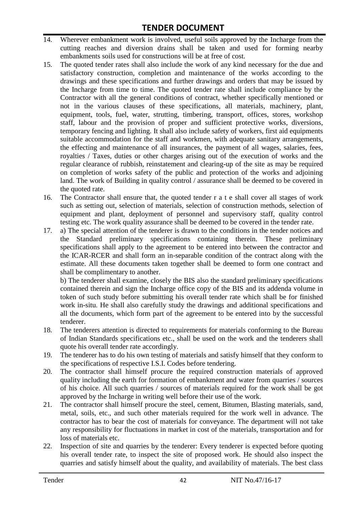- 14. Wherever embankment work is involved, useful soils approved by the Incharge from the cutting reaches and diversion drains shall be taken and used for forming nearby embankments soils used for constructions will be at free of cost.
- 15. The quoted tender rates shall also include the work of any kind necessary for the due and satisfactory construction, completion and maintenance of the works according to the drawings and these specifications and further drawings and orders that may be issued by the Incharge from time to time. The quoted tender rate shall include compliance by the Contractor with all the general conditions of contract, whether specifically mentioned or not in the various clauses of these specifications, all materials, machinery, plant, equipment, tools, fuel, water, strutting, timbering, transport, offices, stores, workshop staff, labour and the provision of proper and sufficient protective works, diversions, temporary fencing and lighting. It shall also include safety of workers, first aid equipments suitable accommodation for the staff and workmen, with adequate sanitary arrangements, the effecting and maintenance of all insurances, the payment of all wages, salaries, fees, royalties / Taxes, duties or other charges arising out of the execution of works and the regular clearance of rubbish, reinstatement and clearing-up of the site as may be required on completion of works safety of the public and protection of the works and adjoining land. The work of Building in quality control / assurance shall be deemed to be covered in the quoted rate.
- 16. The Contractor shall ensure that, the quoted tender r a t e shall cover all stages of work such as setting out, selection of materials, selection of construction methods, selection of equipment and plant, deployment of personnel and supervisory staff, quality control testing etc. The work quality assurance shall be deemed to be covered in the tender rate.
- 17. a) The special attention of the tenderer is drawn to the conditions in the tender notices and the Standard preliminary specifications containing therein. These preliminary specifications shall apply to the agreement to be entered into between the contractor and the ICAR-RCER and shall form an in-separable condition of the contract along with the estimate. All these documents taken together shall be deemed to form one contract and shall be complimentary to another.

b) The tenderer shall examine, closely the BIS also the standard preliminary specifications contained therein and sign the Incharge office copy of the BIS and its addenda volume in token of such study before submitting his overall tender rate which shall be for finished work in-situ. He shall also carefully study the drawings and additional specifications and all the documents, which form part of the agreement to be entered into by the successful tenderer.

- 18. The tenderers attention is directed to requirements for materials conforming to the Bureau of Indian Standards specifications etc., shall be used on the work and the tenderers shall quote his overall tender rate accordingly.
- 19. The tenderer has to do his own testing of materials and satisfy himself that they conform to the specifications of respective I.S.I. Codes before tendering.
- 20. The contractor shall himself procure the required construction materials of approved quality including the earth for formation of embankment and water from quarries / sources of his choice. All such quarries / sources of materials required for the work shall be got approved by the Incharge in writing well before their use of the work.
- 21. The contractor shall himself procure the steel, cement, Bitumen, Blasting materials, sand, metal, soils, etc., and such other materials required for the work well in advance. The contractor has to bear the cost of materials for conveyance. The department will not take any responsibility for fluctuations in market in cost of the materials, transportation and for loss of materials etc.
- 22. Inspection of site and quarries by the tenderer: Every tenderer is expected before quoting his overall tender rate, to inspect the site of proposed work. He should also inspect the quarries and satisfy himself about the quality, and availability of materials. The best class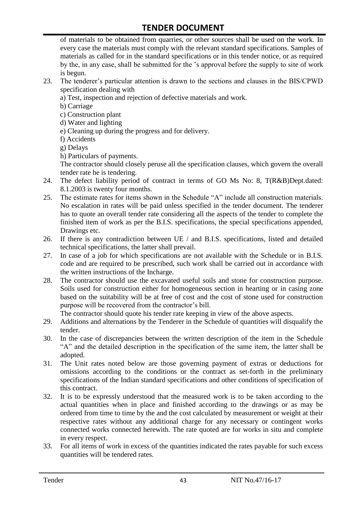of materials to be obtained from quarries, or other sources shall be used on the work. In every case the materials must comply with the relevant standard specifications. Samples of materials as called for in the standard specifications or in this tender notice, or as required by the, in any case, shall be submitted for the "s approval before the supply to site of work is begun.

- 23. The tenderer"s particular attention is drawn to the sections and clauses in the BIS/CPWD specification dealing with
	- a) Test, inspection and rejection of defective materials and work.
	- b) Carriage
	- c) Construction plant
	- d) Water and lighting
	- e) Cleaning up during the progress and for delivery.
	- f) Accidents
	- g) Delays
	- h) Particulars of payments.

The contractor should closely peruse all the specification clauses, which govern the overall tender rate he is tendering.

- 24. The defect liability period of contract in terms of GO Ms No: 8, T(R&B)Dept.dated: 8.1.2003 is twenty four months.
- 25. The estimate rates for items shown in the Schedule "A" include all construction materials. No escalation in rates will be paid unless specified in the tender document. The tenderer has to quote an overall tender rate considering all the aspects of the tender to complete the finished item of work as per the B.I.S. specifications, the special specifications appended, Drawings etc.
- 26. If there is any contradiction between UE / and B.I.S. specifications, listed and detailed technical specifications, the latter shall prevail.
- 27. In case of a job for which specifications are not available with the Schedule or in B.I.S. code and are required to be prescribed, such work shall be carried out in accordance with the written instructions of the Incharge.
- 28. The contractor should use the excavated useful soils and stone for construction purpose. Soils used for construction either for homogeneous section in hearting or in casing zone based on the suitability will be at free of cost and the cost of stone used for construction purpose will be recovered from the contractor's bill.

The contractor should quote his tender rate keeping in view of the above aspects.

- 29. Additions and alternations by the Tenderer in the Schedule of quantities will disqualify the tender.
- 30. In the case of discrepancies between the written description of the item in the Schedule "A" and the detailed description in the specification of the same item, the latter shall be adopted.
- 31. The Unit rates noted below are those governing payment of extras or deductions for omissions according to the conditions or the contract as set-forth in the preliminary specifications of the Indian standard specifications and other conditions of specification of this contract.
- 32. It is to be expressly understood that the measured work is to be taken according to the actual quantities when in place and finished according to the drawings or as may be ordered from time to time by the and the cost calculated by measurement or weight at their respective rates without any additional charge for any necessary or contingent works connected works connected herewith. The rate quoted are for works in situ and complete in every respect.
- 33. For all items of work in excess of the quantities indicated the rates payable for such excess quantities will be tendered rates.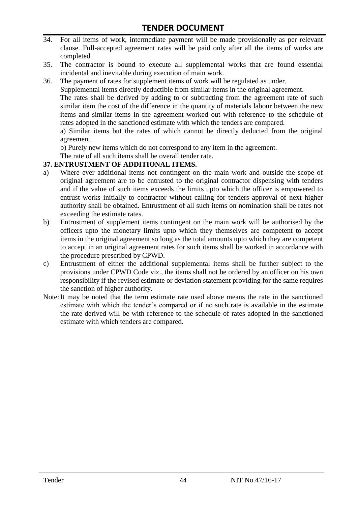- 34. For all items of work, intermediate payment will be made provisionally as per relevant clause. Full-accepted agreement rates will be paid only after all the items of works are completed.
- 35. The contractor is bound to execute all supplemental works that are found essential incidental and inevitable during execution of main work.
- 36. The payment of rates for supplement items of work will be regulated as under.

Supplemental items directly deductible from similar items in the original agreement.

The rates shall be derived by adding to or subtracting from the agreement rate of such similar item the cost of the difference in the quantity of materials labour between the new items and similar items in the agreement worked out with reference to the schedule of rates adopted in the sanctioned estimate with which the tenders are compared.

a) Similar items but the rates of which cannot be directly deducted from the original agreement.

b) Purely new items which do not correspond to any item in the agreement.

The rate of all such items shall be overall tender rate.

#### **37. ENTRUSTMENT OF ADDITIONAL ITEMS.**

- a) Where ever additional items not contingent on the main work and outside the scope of original agreement are to be entrusted to the original contractor dispensing with tenders and if the value of such items exceeds the limits upto which the officer is empowered to entrust works initially to contractor without calling for tenders approval of next higher authority shall be obtained. Entrustment of all such items on nomination shall be rates not exceeding the estimate rates.
- b) Entrustment of supplement items contingent on the main work will be authorised by the officers upto the monetary limits upto which they themselves are competent to accept items in the original agreement so long as the total amounts upto which they are competent to accept in an original agreement rates for such items shall be worked in accordance with the procedure prescribed by CPWD.
- c) Entrustment of either the additional supplemental items shall be further subject to the provisions under CPWD Code viz., the items shall not be ordered by an officer on his own responsibility if the revised estimate or deviation statement providing for the same requires the sanction of higher authority.
- Note:It may be noted that the term estimate rate used above means the rate in the sanctioned estimate with which the tender"s compared or if no such rate is available in the estimate the rate derived will be with reference to the schedule of rates adopted in the sanctioned estimate with which tenders are compared.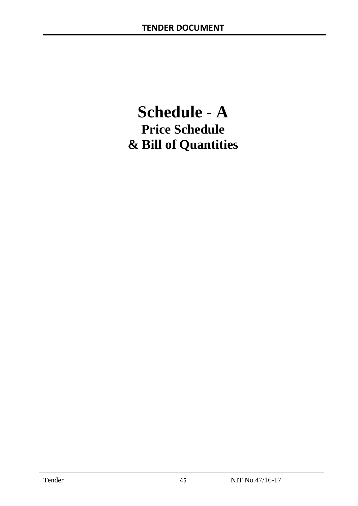# **Schedule - A Price Schedule & Bill of Quantities**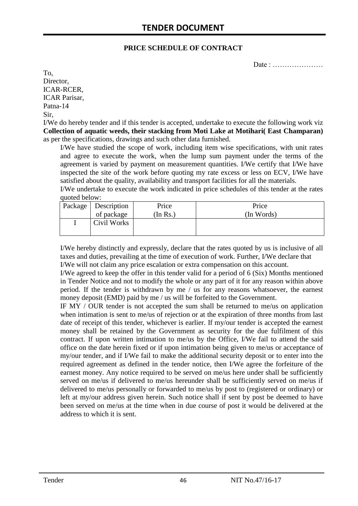#### **PRICE SCHEDULE OF CONTRACT**

Date : …………………

To, Director, ICAR-RCER, ICAR Parisar, Patna-14 Sir,

I/We do hereby tender and if this tender is accepted, undertake to execute the following work viz **Collection of aquatic weeds, their stacking from Moti Lake at Motihari( East Champaran)**  as per the specifications, drawings and such other data furnished.

I/We have studied the scope of work, including item wise specifications, with unit rates and agree to execute the work, when the lump sum payment under the terms of the agreement is varied by payment on measurement quantities. I/We certify that I/We have inspected the site of the work before quoting my rate excess or less on ECV, I/We have satisfied about the quality, availability and transport facilities for all the materials.

I/We undertake to execute the work indicated in price schedules of this tender at the rates quoted below:

| Package   Description | Price    | Price      |
|-----------------------|----------|------------|
| of package            | (In Rs.) | (In Words) |
| Civil Works           |          |            |
|                       |          |            |

I/We hereby distinctly and expressly, declare that the rates quoted by us is inclusive of all taxes and duties, prevailing at the time of execution of work. Further, I/We declare that I/We will not claim any price escalation or extra compensation on this account.

I/We agreed to keep the offer in this tender valid for a period of 6 (Six) Months mentioned in Tender Notice and not to modify the whole or any part of it for any reason within above period. If the tender is withdrawn by me / us for any reasons whatsoever, the earnest money deposit (EMD) paid by me / us will be forfeited to the Government.

IF MY / OUR tender is not accepted the sum shall be returned to me/us on application when intimation is sent to me/us of rejection or at the expiration of three months from last date of receipt of this tender, whichever is earlier. If my/our tender is accepted the earnest money shall be retained by the Government as security for the due fulfilment of this contract. If upon written intimation to me/us by the Office, I/We fail to attend the said office on the date herein fixed or if upon intimation being given to me/us or acceptance of my/our tender, and if I/We fail to make the additional security deposit or to enter into the required agreement as defined in the tender notice, then I/We agree the forfeiture of the earnest money. Any notice required to be served on me/us here under shall be sufficiently served on me/us if delivered to me/us hereunder shall be sufficiently served on me/us if delivered to me/us personally or forwarded to me/us by post to (registered or ordinary) or left at my/our address given herein. Such notice shall if sent by post be deemed to have been served on me/us at the time when in due course of post it would be delivered at the address to which it is sent.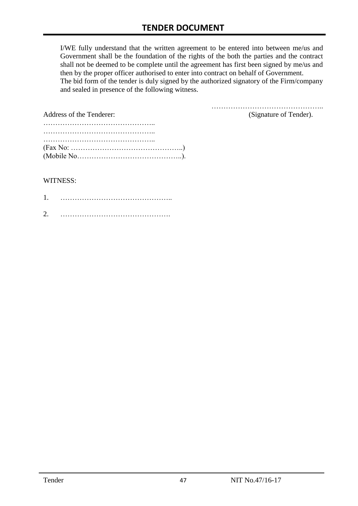I/WE fully understand that the written agreement to be entered into between me/us and Government shall be the foundation of the rights of the both the parties and the contract shall not be deemed to be complete until the agreement has first been signed by me/us and then by the proper officer authorised to enter into contract on behalf of Government. The bid form of the tender is duly signed by the authorized signatory of the Firm/company and sealed in presence of the following witness.

| Address of the Tenderer:                                                                  | (Signature of Tender). |
|-------------------------------------------------------------------------------------------|------------------------|
|                                                                                           |                        |
|                                                                                           |                        |
|                                                                                           |                        |
| $(Fax No: \dots \dots \dots \dots \dots \dots \dots \dots \dots \dots \dots \dots \dots)$ |                        |
|                                                                                           |                        |

#### WITNESS:

| ⌒ |  |
|---|--|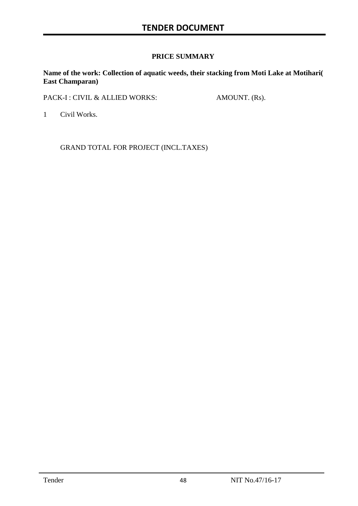# **PRICE SUMMARY**

**Name of the work: Collection of aquatic weeds, their stacking from Moti Lake at Motihari( East Champaran)** 

PACK-I : CIVIL & ALLIED WORKS: AMOUNT. (Rs).

1 Civil Works.

GRAND TOTAL FOR PROJECT (INCL.TAXES)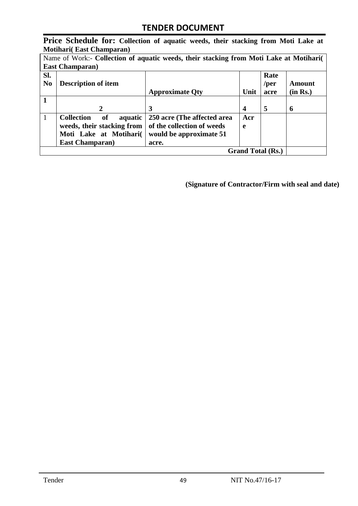**Price Schedule for: Collection of aquatic weeds, their stacking from Moti Lake at Motihari( East Champaran)** 

| Name of Work:- Collection of aquatic weeds, their stacking from Moti Lake at Motihari |                                    |                             |      |              |          |  |
|---------------------------------------------------------------------------------------|------------------------------------|-----------------------------|------|--------------|----------|--|
|                                                                                       | <b>East Champaran</b> )            |                             |      |              |          |  |
| SI.<br>N <sub>0</sub>                                                                 | <b>Description of item</b>         |                             |      | Rate<br>/per | Amount   |  |
|                                                                                       |                                    | <b>Approximate Qty</b>      | Unit | acre         | (in Rs.) |  |
|                                                                                       |                                    |                             |      |              |          |  |
|                                                                                       | 2                                  | 3                           | 4    | 5            | 6        |  |
| 1                                                                                     | <b>Collection</b><br>of<br>aquatic | 250 acre (The affected area | Acr  |              |          |  |
|                                                                                       | weeds, their stacking from         | of the collection of weeds  | e    |              |          |  |
|                                                                                       | Moti Lake at Motihari(             | would be approximate 51     |      |              |          |  |
|                                                                                       | <b>East Champaran</b> )            | acre.                       |      |              |          |  |
|                                                                                       | <b>Grand Total (Rs.)</b>           |                             |      |              |          |  |

**(Signature of Contractor/Firm with seal and date)**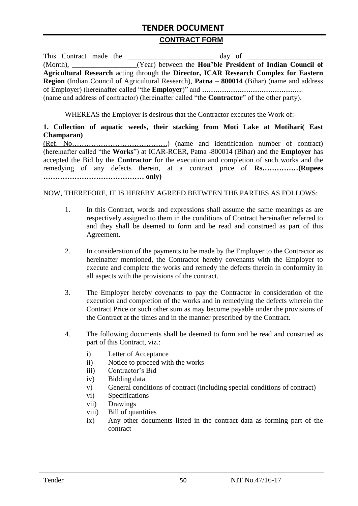#### **CONTRACT FORM**

| This Contract made the |  | day of                                                                                                   |
|------------------------|--|----------------------------------------------------------------------------------------------------------|
|                        |  | (Month), _______________(Year) between the <b>Hon'ble President</b> of <b>Indian Council of</b>          |
|                        |  | Agricultural Research acting through the Director, ICAR Research Complex for Eastern                     |
|                        |  | <b>Region</b> (Indian Council of Agricultural Research), <b>Patna – 800014</b> (Bihar) (name and address |
|                        |  |                                                                                                          |
|                        |  | (name and address of contractor) (hereinafter called "the <b>Contractor</b> " of the other party).       |

WHEREAS the Employer is desirous that the Contractor executes the Work of:-

**1. Collection of aquatic weeds, their stacking from Moti Lake at Motihari( East Champaran)** 

(Ref. No………………………………….) (name and identification number of contract) (hereinafter called "the **Works**") at ICAR-RCER, Patna -800014 (Bihar) and the **Employer** has accepted the Bid by the **Contractor** for the execution and completion of such works and the remedying of any defects therein, at a contract price of **Rs……………(Rupees …………………………………… only)**

#### NOW, THEREFORE, IT IS HEREBY AGREED BETWEEN THE PARTIES AS FOLLOWS:

- 1. In this Contract, words and expressions shall assume the same meanings as are respectively assigned to them in the conditions of Contract hereinafter referred to and they shall be deemed to form and be read and construed as part of this Agreement.
- 2. In consideration of the payments to be made by the Employer to the Contractor as hereinafter mentioned, the Contractor hereby covenants with the Employer to execute and complete the works and remedy the defects therein in conformity in all aspects with the provisions of the contract.
- 3. The Employer hereby covenants to pay the Contractor in consideration of the execution and completion of the works and in remedying the defects wherein the Contract Price or such other sum as may become payable under the provisions of the Contract at the times and in the manner prescribed by the Contract.
- 4. The following documents shall be deemed to form and be read and construed as part of this Contract, viz.:
	- i) Letter of Acceptance
	- ii) Notice to proceed with the works
	- iii) Contractor"s Bid
	- iv) Bidding data
	- v) General conditions of contract (including special conditions of contract)
	- vi) Specifications
	- vii) Drawings
	- viii) Bill of quantities
	- ix) Any other documents listed in the contract data as forming part of the contract